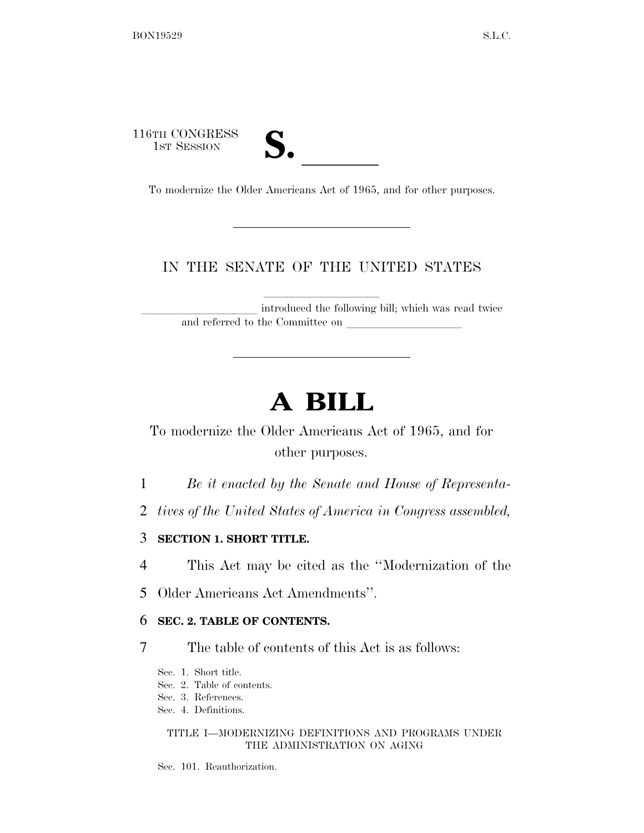116TH CONGRESS 3TH CONGRESS<br>
1ST SESSION<br>
To modernize the Older Americans Act of 1965, and for other purposes.

## IN THE SENATE OF THE UNITED STATES

introduced the following bill; which was read twice and referred to the Committee on

# **A BILL**

# To modernize the Older Americans Act of 1965, and for other purposes.

1 *Be it enacted by the Senate and House of Representa-*

- 2 *tives of the United States of America in Congress assembled,*
- 3 **SECTION 1. SHORT TITLE.**
- 4 This Act may be cited as the ''Modernization of the
- 5 Older Americans Act Amendments''.

### 6 **SEC. 2. TABLE OF CONTENTS.**

- 7 The table of contents of this Act is as follows:
	- Sec. 1. Short title.
	- Sec. 2. Table of contents.
	- Sec. 3. References.
	- Sec. 4. Definitions.

### TITLE I—MODERNIZING DEFINITIONS AND PROGRAMS UNDER THE ADMINISTRATION ON AGING

Sec. 101. Reauthorization.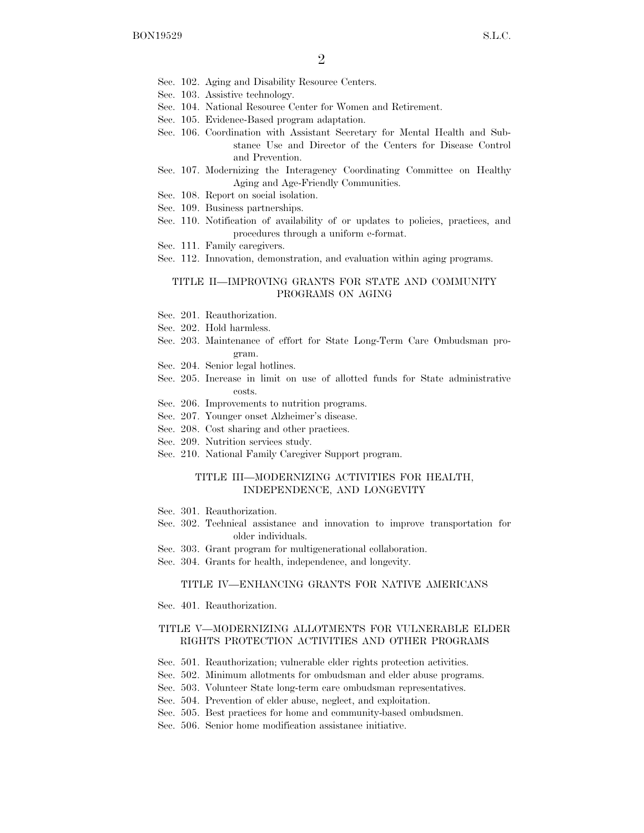- Sec. 102. Aging and Disability Resource Centers.
- Sec. 103. Assistive technology.
- Sec. 104. National Resource Center for Women and Retirement.
- Sec. 105. Evidence-Based program adaptation.
- Sec. 106. Coordination with Assistant Secretary for Mental Health and Substance Use and Director of the Centers for Disease Control and Prevention.
- Sec. 107. Modernizing the Interagency Coordinating Committee on Healthy Aging and Age-Friendly Communities.
- Sec. 108. Report on social isolation.
- Sec. 109. Business partnerships.
- Sec. 110. Notification of availability of or updates to policies, practices, and procedures through a uniform e-format.
- Sec. 111. Family caregivers.
- Sec. 112. Innovation, demonstration, and evaluation within aging programs.

### TITLE II—IMPROVING GRANTS FOR STATE AND COMMUNITY PROGRAMS ON AGING

- Sec. 201. Reauthorization.
- Sec. 202. Hold harmless.
- Sec. 203. Maintenance of effort for State Long-Term Care Ombudsman program.
- Sec. 204. Senior legal hotlines.
- Sec. 205. Increase in limit on use of allotted funds for State administrative costs.
- Sec. 206. Improvements to nutrition programs.
- Sec. 207. Younger onset Alzheimer's disease.
- Sec. 208. Cost sharing and other practices.
- Sec. 209. Nutrition services study.
- Sec. 210. National Family Caregiver Support program.

#### TITLE III—MODERNIZING ACTIVITIES FOR HEALTH, INDEPENDENCE, AND LONGEVITY

- Sec. 301. Reauthorization.
- Sec. 302. Technical assistance and innovation to improve transportation for older individuals.
- Sec. 303. Grant program for multigenerational collaboration.
- Sec. 304. Grants for health, independence, and longevity.

### TITLE IV—ENHANCING GRANTS FOR NATIVE AMERICANS

Sec. 401. Reauthorization.

#### TITLE V—MODERNIZING ALLOTMENTS FOR VULNERABLE ELDER RIGHTS PROTECTION ACTIVITIES AND OTHER PROGRAMS

- Sec. 501. Reauthorization; vulnerable elder rights protection activities.
- Sec. 502. Minimum allotments for ombudsman and elder abuse programs.
- Sec. 503. Volunteer State long-term care ombudsman representatives.
- Sec. 504. Prevention of elder abuse, neglect, and exploitation.
- Sec. 505. Best practices for home and community-based ombudsmen.
- Sec. 506. Senior home modification assistance initiative.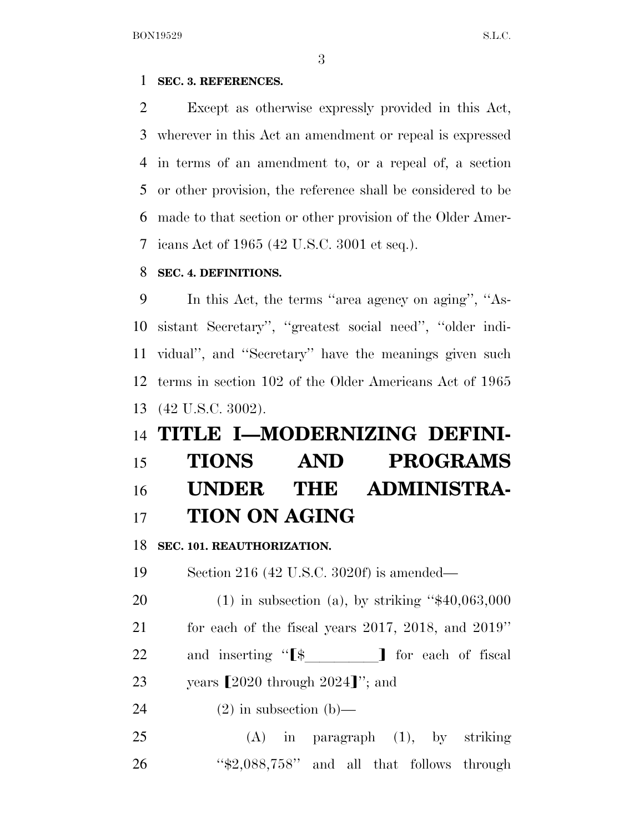### **SEC. 3. REFERENCES.**

 Except as otherwise expressly provided in this Act, wherever in this Act an amendment or repeal is expressed in terms of an amendment to, or a repeal of, a section or other provision, the reference shall be considered to be made to that section or other provision of the Older Amer-icans Act of 1965 (42 U.S.C. 3001 et seq.).

### **SEC. 4. DEFINITIONS.**

 In this Act, the terms ''area agency on aging'', ''As- sistant Secretary'', ''greatest social need'', ''older indi- vidual'', and ''Secretary'' have the meanings given such terms in section 102 of the Older Americans Act of 1965 (42 U.S.C. 3002).

# **TITLE I—MODERNIZING DEFINI-**

# **TIONS AND PROGRAMS UNDER THE ADMINISTRA-TION ON AGING**

**SEC. 101. REAUTHORIZATION.** 

Section 216 (42 U.S.C. 3020f) is amended—

 (1) in subsection (a), by striking ''\$40,063,000 for each of the fiscal years 2017, 2018, and 2019''

22 and inserting " $\$\$  T for each of fiscal

23 years  $\left[2020 \frac{\text{through } 2024 \} \right]$  ; and

24  $(2)$  in subsection  $(b)$ —

 (A) in paragraph (1), by striking ''\$2,088,758'' and all that follows through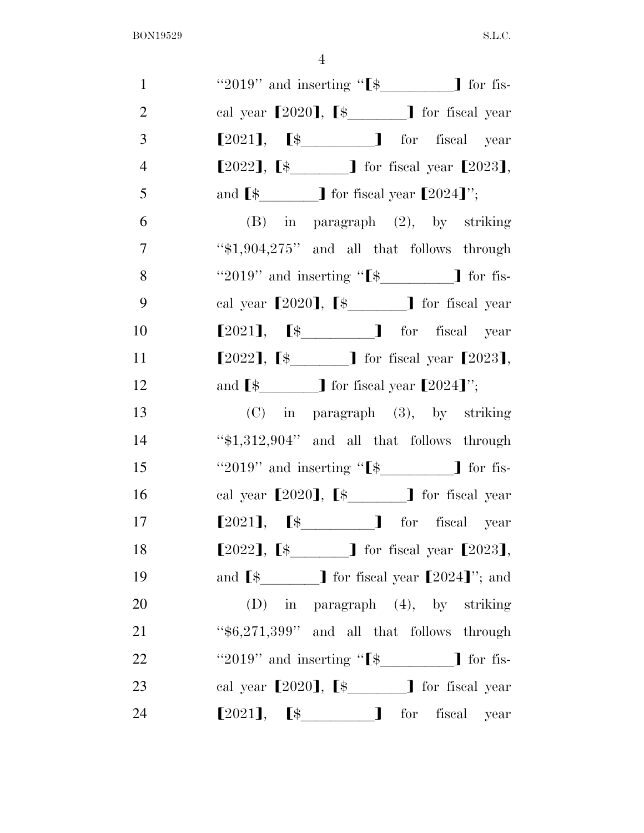| $\mathbf{1}$   | "2019" and inserting " $\left[\frac{1}{2}\right]$ for fis-                |
|----------------|---------------------------------------------------------------------------|
| $\overline{2}$ | cal year $[2020]$ , $[\frac{1}{2}$ for fiscal year                        |
| 3              | $[2021]$ , $[\frac{1}{2021}]$ for fiscal year                             |
| $\overline{4}$ | $[2022]$ , $[\frac{1}{2}]$ for fiscal year $[2023]$ ,                     |
| 5              | and $\boxed{\$$ _________] for fiscal year $\boxed{2024}$ ";              |
| 6              | $(B)$ in paragraph $(2)$ , by striking                                    |
| $\tau$         | " $$1,904,275"$ and all that follows through                              |
| 8              | "2019" and inserting " $\[ \$                                             |
| 9              | cal year $[2020]$ , $[\frac{1}{2}$ for fiscal year                        |
| 10             | $[2021]$ , $[s$ for fiscal year                                           |
| 11             | $[2022]$ , $[\frac{1}{2}]$ for fiscal year $[2023]$ ,                     |
| 12             | and $\left[\frac{1}{2}\right]$ for fiscal year $\left[2024\right]$ ";     |
| 13             | (C) in paragraph (3), by striking                                         |
| 14             | "\$1,312,904" and all that follows through                                |
| 15             | "2019" and inserting " $\[ \$ " $\$                                       |
| 16             | cal year $[2020]$ , $[\frac{1}{2}$ for fiscal year                        |
| 17             | $[2021]$ , $[\frac{1}{2021}]$ for fiscal year                             |
| 18             | $[2022]$ , $[\frac{1}{2}]$ for fiscal year $[2023]$ ,                     |
| 19             | and $\left[\frac{1}{2}\right]$ for fiscal year $\left[2024\right]$ "; and |
| 20             | $(D)$ in paragraph $(4)$ , by striking                                    |
| 21             | " $$6,271,399"$ and all that follows through                              |
| 22             | "2019" and inserting " $\left[\frac{1}{2}\right]$ for fis-                |
| 23             | cal year $[2020]$ , $[\frac{1}{2}]$ for fiscal year                       |
| 24             | $[2021]$ , $[\frac{1}{2021}]$ for fiscal year                             |
|                |                                                                           |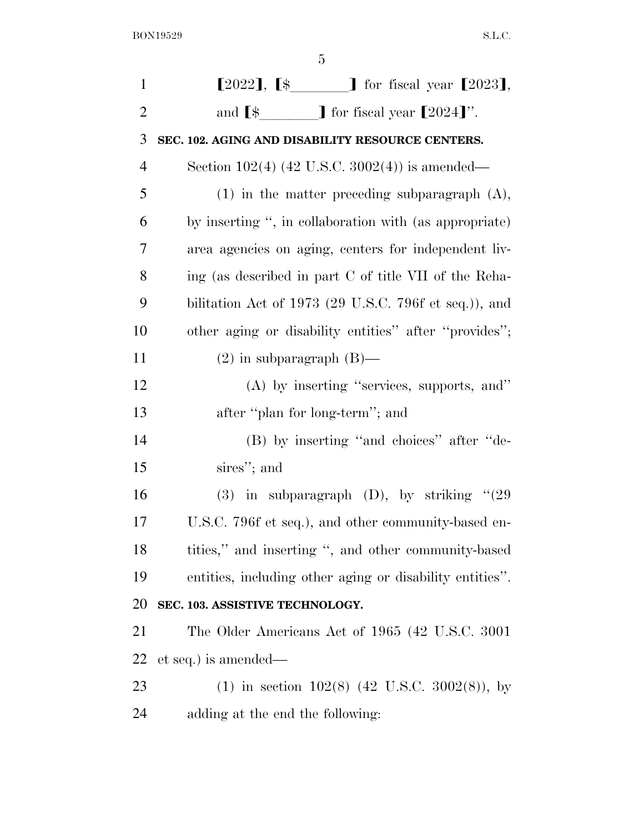| $\mathbf{1}$   | $[2022]$ , $[\frac{1}{2}$ $]$ for fiscal year $[2023]$ ,                                 |
|----------------|------------------------------------------------------------------------------------------|
| $\overline{2}$ | and $\lbrack$ $\uparrow$ $\uparrow$ $\uparrow$ for fiscal year $\lbrack 2024 \rbrack$ ". |
| 3              | SEC. 102. AGING AND DISABILITY RESOURCE CENTERS.                                         |
| $\overline{4}$ | Section $102(4)$ (42 U.S.C. 3002(4)) is amended—                                         |
| 5              | $(1)$ in the matter preceding subparagraph $(A)$ ,                                       |
| 6              | by inserting ", in collaboration with (as appropriate)                                   |
| 7              | area agencies on aging, centers for independent liv-                                     |
| 8              | ing (as described in part C of title VII of the Reha-                                    |
| 9              | bilitation Act of 1973 (29 U.S.C. 796f et seq.)), and                                    |
| 10             | other aging or disability entities" after "provides";                                    |
| 11             | $(2)$ in subparagraph $(B)$ —                                                            |
| 12             | $(A)$ by inserting "services, supports, and"                                             |
| 13             | after "plan for long-term"; and                                                          |
| 14             | (B) by inserting "and choices" after "de-                                                |
| 15             | sires"; and                                                                              |
| 16             | (3) in subparagraph (D), by striking $\degree$ (29)                                      |
| 17             | U.S.C. 796f et seq.), and other community-based en-                                      |
| 18             | tities," and inserting ", and other community-based                                      |
| 19             | entities, including other aging or disability entities".                                 |
| 20             | SEC. 103. ASSISTIVE TECHNOLOGY.                                                          |
| 21             | The Older Americans Act of 1965 (42 U.S.C. 3001)                                         |
| 22             | et seq.) is amended—                                                                     |
| 23             | (1) in section $102(8)$ (42 U.S.C. 3002(8)), by                                          |
| 24             | adding at the end the following:                                                         |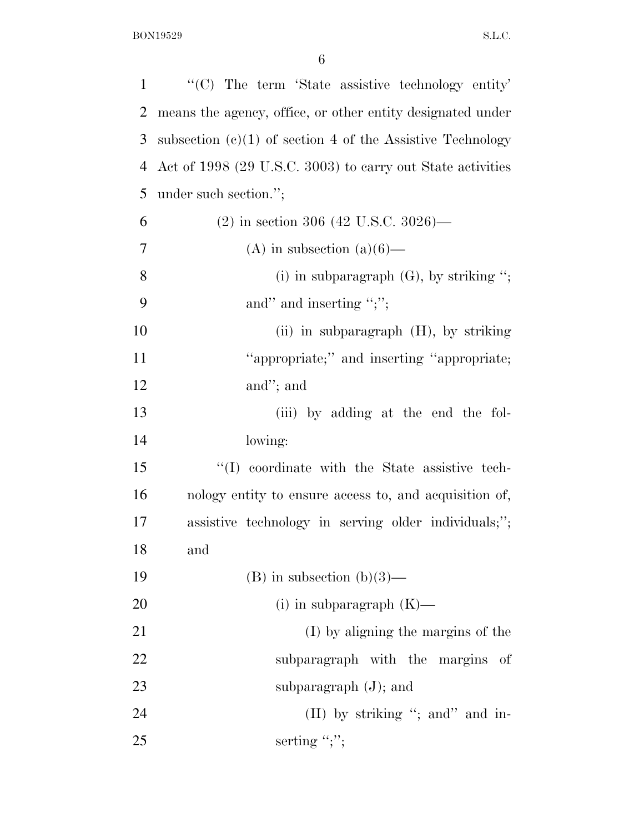| $\mathbf{1}$ | "(C) The term 'State assistive technology entity'            |
|--------------|--------------------------------------------------------------|
| 2            | means the agency, office, or other entity designated under   |
| 3            | subsection $(c)(1)$ of section 4 of the Assistive Technology |
| 4            | Act of 1998 (29 U.S.C. 3003) to carry out State activities   |
| 5            | under such section.";                                        |
| 6            | $(2)$ in section 306 (42 U.S.C. 3026)—                       |
| 7            | (A) in subsection $(a)(6)$ —                                 |
| 8            | (i) in subparagraph $(G)$ , by striking ";                   |
| 9            | and" and inserting ";";                                      |
| 10           | (ii) in subparagraph $(H)$ , by striking                     |
| 11           | "appropriate;" and inserting "appropriate;                   |
| 12           | and"; and                                                    |
| 13           | (iii) by adding at the end the fol-                          |
| 14           | lowing:                                                      |
| 15           | "(I) coordinate with the State assistive tech-               |
| 16           | nology entity to ensure access to, and acquisition of,       |
| 17           | assistive technology in serving older individuals;";         |
| 18           | and                                                          |
| 19           | $(B)$ in subsection $(b)(3)$ —                               |
| 20           | $(i)$ in subparagraph $(K)$ —                                |
| 21           | (I) by aligning the margins of the                           |
| 22           | subparagraph with the margins of                             |
| 23           | subparagraph $(J)$ ; and                                     |
| 24           | (II) by striking "; and" and in-                             |
| 25           | serting ";";                                                 |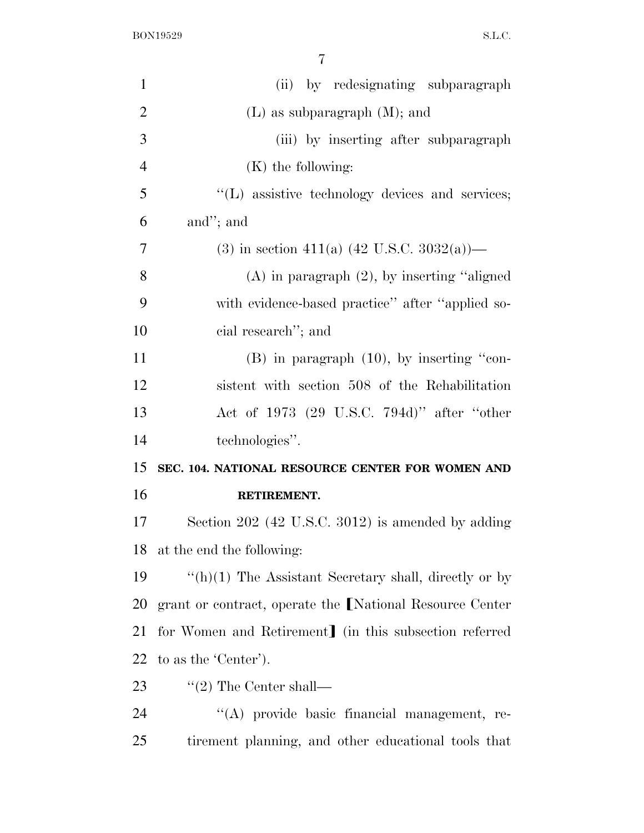| $\mathbf{1}$   | (ii) by redesignating subparagraph                           |
|----------------|--------------------------------------------------------------|
| $\overline{2}$ | $(L)$ as subparagraph $(M)$ ; and                            |
| 3              | (iii) by inserting after subparagraph                        |
| $\overline{4}$ | $(K)$ the following:                                         |
| 5              | "(L) assistive technology devices and services;              |
| 6              | and"; and                                                    |
| 7              | (3) in section 411(a) $(42 \text{ U.S.C. } 3032(a))$ —       |
| 8              | $(A)$ in paragraph $(2)$ , by inserting "aligned"            |
| 9              | with evidence-based practice" after "applied so-             |
| 10             | cial research"; and                                          |
| 11             | $(B)$ in paragraph $(10)$ , by inserting "con-               |
| 12             | sistent with section 508 of the Rehabilitation               |
| 13             | Act of 1973 (29 U.S.C. 794d)" after "other                   |
| 14             | technologies".                                               |
| 15             | SEC. 104. NATIONAL RESOURCE CENTER FOR WOMEN AND             |
| 16             | RETIREMENT.                                                  |
| 17             | Section 202 (42 U.S.C. 3012) is amended by adding            |
|                | 18 at the end the following:                                 |
| 19             | $\lq\lq(h)(1)$ The Assistant Secretary shall, directly or by |
| 20             | grant or contract, operate the [National Resource Center     |
| 21             | for Women and Retirement in this subsection referred         |
| 22             | to as the 'Center').                                         |
| 23             | $\lq(2)$ The Center shall—                                   |
| 24             | "(A) provide basic financial management, re-                 |
|                |                                                              |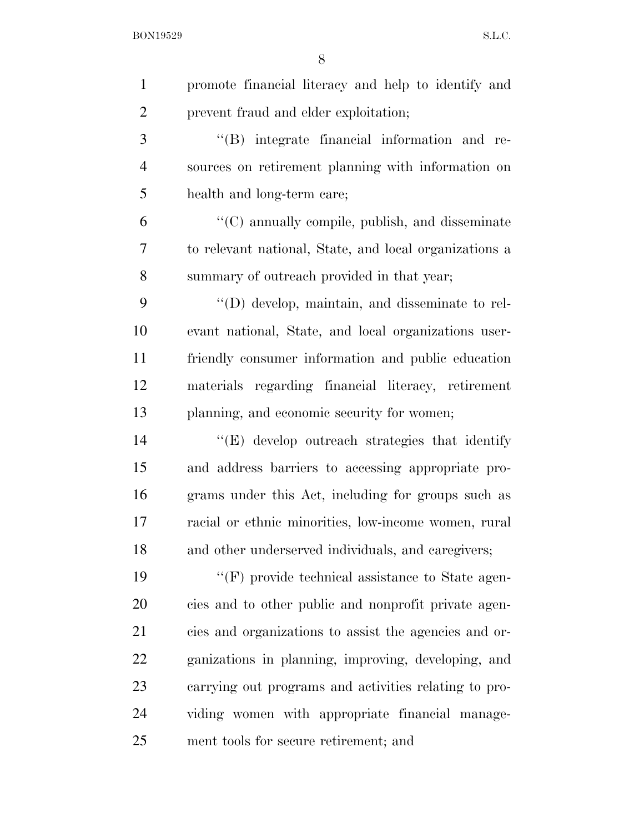| $\mathbf{1}$   | promote financial literacy and help to identify and     |
|----------------|---------------------------------------------------------|
| $\overline{2}$ | prevent fraud and elder exploitation;                   |
| 3              | "(B) integrate financial information and re-            |
| $\overline{4}$ | sources on retirement planning with information on      |
| 5              | health and long-term care;                              |
| 6              | "(C) annually compile, publish, and disseminate         |
| 7              | to relevant national, State, and local organizations a  |
| 8              | summary of outreach provided in that year;              |
| 9              | $\lq\lq$ (D) develop, maintain, and disseminate to rel- |
| 10             | evant national, State, and local organizations user-    |
| 11             | friendly consumer information and public education      |
| 12             | materials regarding financial literacy, retirement      |
| 13             | planning, and economic security for women;              |
| 14             | "(E) develop outreach strategies that identify          |
| 15             | and address barriers to accessing appropriate pro-      |
| 16             | grams under this Act, including for groups such as      |
| 17             | racial or ethnic minorities, low-income women, rural    |
| 18             | and other underserved individuals, and caregivers;      |
| 19             | $\lq\lq(F)$ provide technical assistance to State agen- |
| 20             | cies and to other public and nonprofit private agen-    |
| 21             | cies and organizations to assist the agencies and or-   |
| 22             | ganizations in planning, improving, developing, and     |
| 23             | carrying out programs and activities relating to pro-   |
| 24             | viding women with appropriate financial manage-         |
| 25             | ment tools for secure retirement; and                   |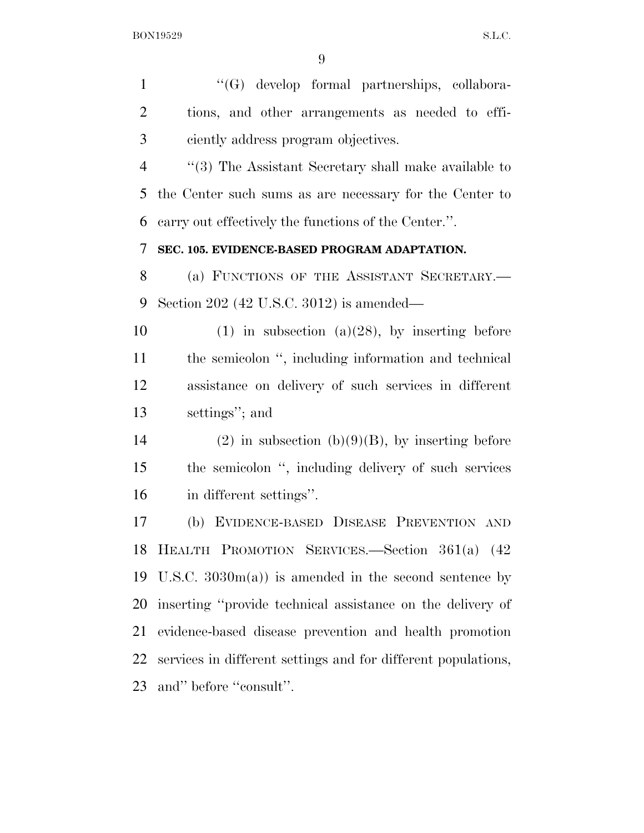''(G) develop formal partnerships, collabora- tions, and other arrangements as needed to effi- ciently address program objectives. ''(3) The Assistant Secretary shall make available to the Center such sums as are necessary for the Center to carry out effectively the functions of the Center.''. **SEC. 105. EVIDENCE-BASED PROGRAM ADAPTATION.**  8 (a) FUNCTIONS OF THE ASSISTANT SECRETARY. Section 202 (42 U.S.C. 3012) is amended— 10 (1) in subsection (a)(28), by inserting before the semicolon '', including information and technical assistance on delivery of such services in different settings''; and 14 (2) in subsection  $(b)(9)(B)$ , by inserting before the semicolon '', including delivery of such services in different settings''. (b) EVIDENCE-BASED DISEASE PREVENTION AND HEALTH PROMOTION SERVICES.—Section 361(a) (42 U.S.C. 3030m(a)) is amended in the second sentence by inserting ''provide technical assistance on the delivery of evidence-based disease prevention and health promotion services in different settings and for different populations, and'' before ''consult''.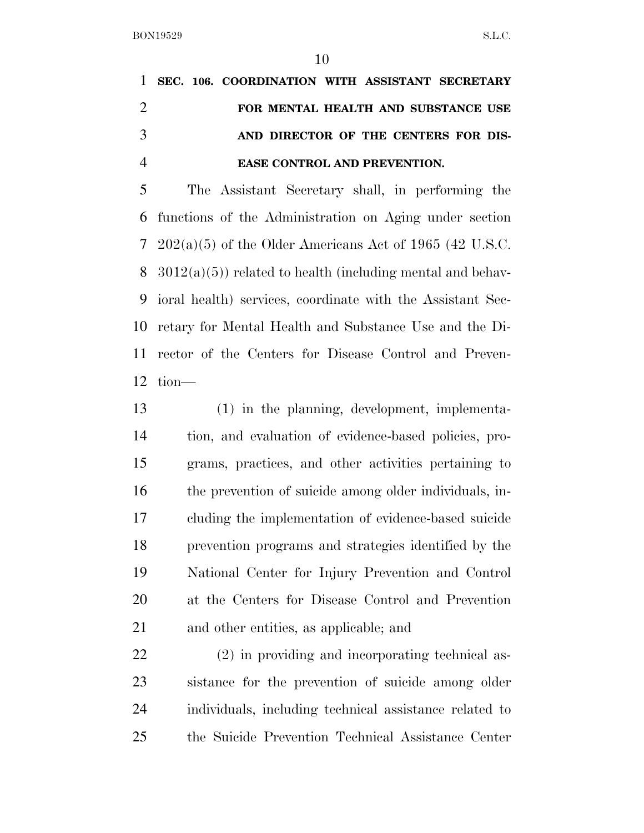|               |  | 1 SEC. 106. COORDINATION WITH ASSISTANT SECRETARY |  |  |
|---------------|--|---------------------------------------------------|--|--|
|               |  | FOR MENTAL HEALTH AND SUBSTANCE USE               |  |  |
| $\mathcal{R}$ |  | AND DIRECTOR OF THE CENTERS FOR DIS-              |  |  |
|               |  | <b>EASE CONTROL AND PREVENTION.</b>               |  |  |

 The Assistant Secretary shall, in performing the functions of the Administration on Aging under section 202(a)(5) of the Older Americans Act of 1965 (42 U.S.C.  $3012(a)(5)$  related to health (including mental and behav- ioral health) services, coordinate with the Assistant Sec- retary for Mental Health and Substance Use and the Di- rector of the Centers for Disease Control and Preven-tion—

 (1) in the planning, development, implementa- tion, and evaluation of evidence-based policies, pro- grams, practices, and other activities pertaining to the prevention of suicide among older individuals, in- cluding the implementation of evidence-based suicide prevention programs and strategies identified by the National Center for Injury Prevention and Control at the Centers for Disease Control and Prevention and other entities, as applicable; and

 (2) in providing and incorporating technical as- sistance for the prevention of suicide among older individuals, including technical assistance related to the Suicide Prevention Technical Assistance Center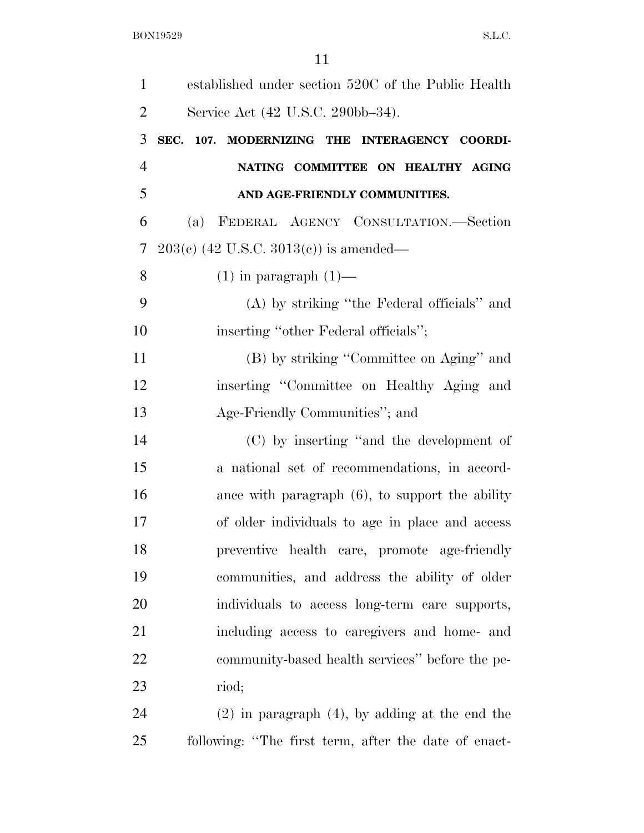| $\mathbf{1}$   | established under section 520C of the Public Health |
|----------------|-----------------------------------------------------|
| $\overline{2}$ | Service Act (42 U.S.C. 290bb-34).                   |
| 3              | SEC. 107. MODERNIZING THE INTERAGENCY COORDI-       |
| $\overline{4}$ | NATING COMMITTEE ON HEALTHY AGING                   |
| 5              | AND AGE-FRIENDLY COMMUNITIES.                       |
| 6              | FEDERAL AGENCY CONSULTATION.-Section<br>(a)         |
| 7              | $203(c)$ (42 U.S.C. 3013(c)) is amended—            |
| 8              | $(1)$ in paragraph $(1)$ —                          |
| 9              | (A) by striking "the Federal officials" and         |
| 10             | inserting "other Federal officials";                |
| 11             | (B) by striking "Committee on Aging" and            |
| 12             | inserting "Committee on Healthy Aging and           |
| 13             | Age-Friendly Communities"; and                      |
| 14             | (C) by inserting "and the development of            |
| 15             | a national set of recommendations, in accord-       |
| 16             | ance with paragraph $(6)$ , to support the ability  |
| 17             | of older individuals to age in place and access     |
| 18             | preventive health care, promote age-friendly        |
| 19             | communities, and address the ability of older       |
| 20             | individuals to access long-term care supports,      |
| 21             | including access to caregivers and home- and        |
| 22             | community-based health services" before the pe-     |
| 23             | riod;                                               |
| 24             | $(2)$ in paragraph $(4)$ , by adding at the end the |
|                |                                                     |

following: ''The first term, after the date of enact-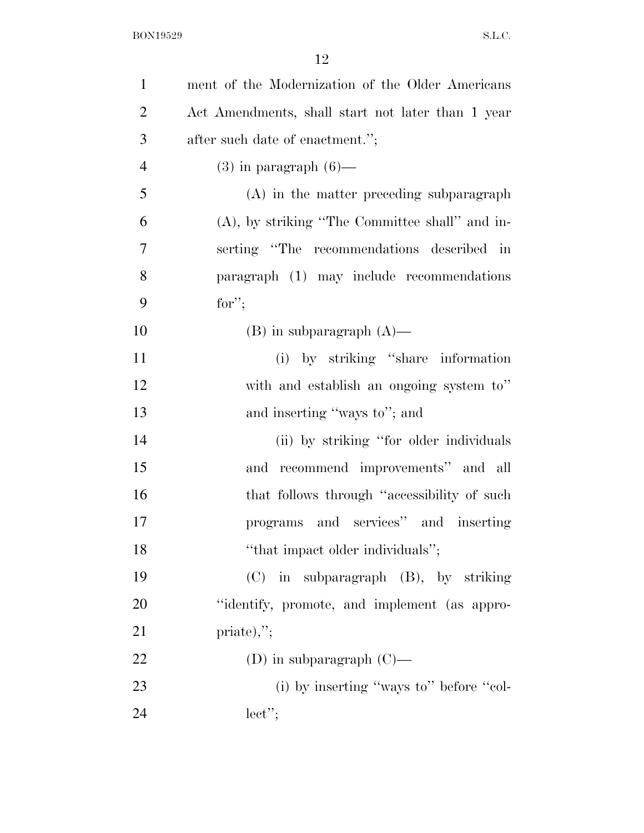| $\mathbf{1}$   | ment of the Modernization of the Older Americans  |
|----------------|---------------------------------------------------|
| $\overline{2}$ | Act Amendments, shall start not later than 1 year |
| 3              | after such date of enactment.";                   |
| $\overline{4}$ | $(3)$ in paragraph $(6)$ —                        |
| 5              | (A) in the matter preceding subparagraph          |
| 6              | $(A)$ , by striking "The Committee shall" and in- |
| 7              | serting "The recommendations described in         |
| 8              | paragraph (1) may include recommendations         |
| 9              | for";                                             |
| 10             | $(B)$ in subparagraph $(A)$ —                     |
| 11             | (i) by striking "share information                |
| 12             | with and establish an ongoing system to"          |
| 13             | and inserting "ways to"; and                      |
| 14             | (ii) by striking "for older individuals           |
| 15             | and recommend improvements" and all               |
| 16             | that follows through "accessibility of such       |
| 17             | programs and services" and inserting              |
| 18             | "that impact older individuals";                  |
| 19             | $(C)$ in subparagraph $(B)$ , by striking         |
| 20             | "identify, promote, and implement (as appro-      |
| 21             | $priate),$ ";                                     |
| 22             | (D) in subparagraph $(C)$ —                       |
| 23             | (i) by inserting "ways to" before "col-           |
| 24             | $lect$ ";                                         |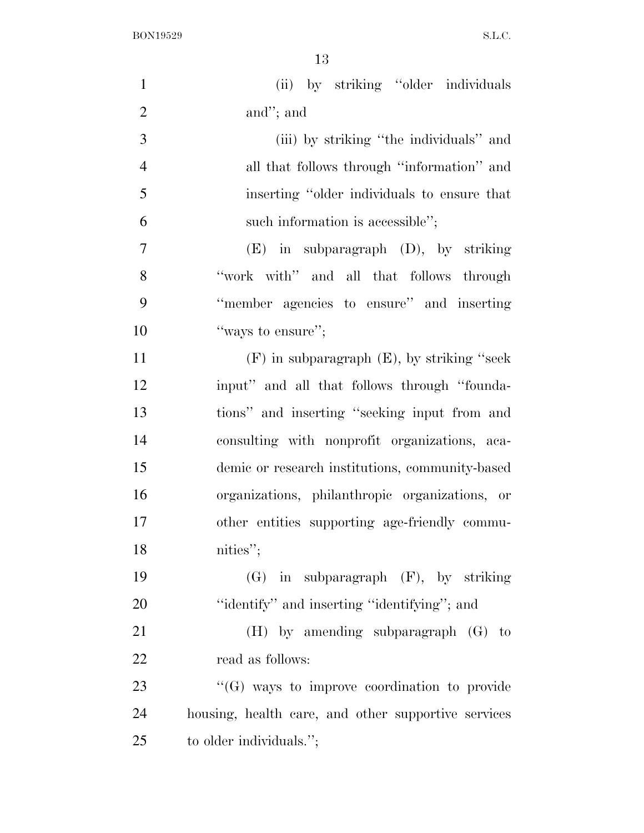| $\mathbf{1}$   | (ii) by striking "older individuals                 |
|----------------|-----------------------------------------------------|
| $\overline{2}$ | and"; and                                           |
| 3              | (iii) by striking "the individuals" and             |
| $\overline{4}$ | all that follows through "information" and          |
| 5              | inserting "older individuals to ensure that         |
| 6              | such information is accessible";                    |
| $\overline{7}$ | $(E)$ in subparagraph $(D)$ , by striking           |
| 8              | "work with" and all that follows through            |
| 9              | "member agencies to ensure" and inserting           |
| 10             | "ways to ensure";                                   |
| 11             | $(F)$ in subparagraph $(E)$ , by striking "seek     |
| 12             | input" and all that follows through "founda-        |
| 13             | tions" and inserting "seeking input from and        |
| 14             | consulting with nonprofit organizations, aca-       |
| 15             | demic or research institutions, community-based     |
| 16             | organizations, philanthropic organizations, or      |
| 17             | other entities supporting age-friendly commu-       |
| 18             | nities";                                            |
| 19             | $(G)$ in subparagraph $(F)$ , by striking           |
| 20             | "identify" and inserting "identifying"; and         |
| 21             | $(H)$ by amending subparagraph $(G)$ to             |
| 22             | read as follows:                                    |
| 23             | $\lq\lq(G)$ ways to improve coordination to provide |
| 24             | housing, health care, and other supportive services |
| 25             | to older individuals.";                             |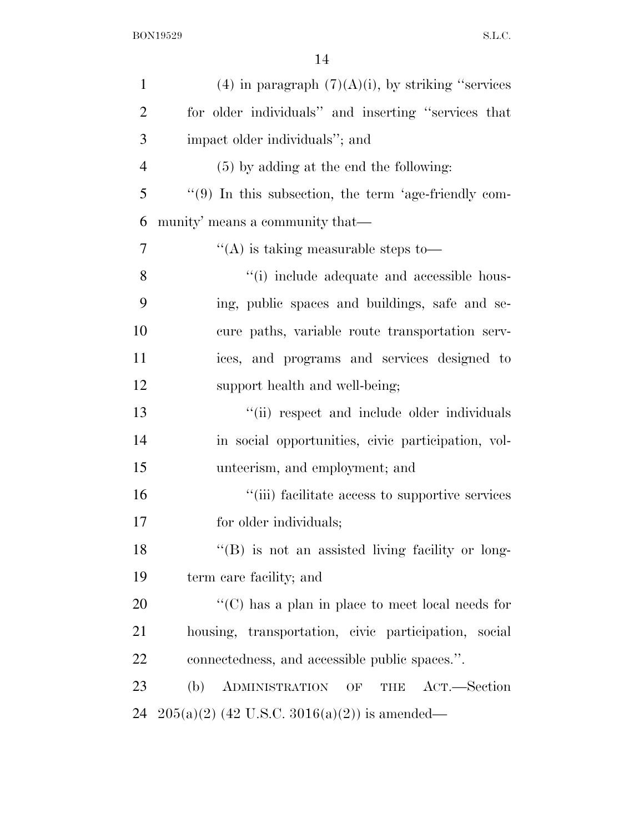| $\mathbf{1}$   | $(4)$ in paragraph $(7)(A)(i)$ , by striking "services"   |
|----------------|-----------------------------------------------------------|
| $\overline{2}$ | for older individuals" and inserting "services that       |
| 3              | impact older individuals"; and                            |
| $\overline{4}$ | (5) by adding at the end the following:                   |
| 5              | $\lq(9)$ In this subsection, the term 'age-friendly com-  |
| 6              | munity' means a community that—                           |
| 7              | "(A) is taking measurable steps to—                       |
| 8              | "(i) include adequate and accessible hous-                |
| 9              | ing, public spaces and buildings, safe and se-            |
| 10             | cure paths, variable route transportation serv-           |
| 11             | ices, and programs and services designed to               |
| 12             | support health and well-being;                            |
| 13             | "(ii) respect and include older individuals               |
| 14             | in social opportunities, civic participation, vol-        |
| 15             | unteerism, and employment; and                            |
| 16             | "(iii) facilitate access to supportive services           |
| 17             | for older individuals;                                    |
| 18             | "(B) is not an assisted living facility or long-          |
| 19             | term care facility; and                                   |
| 20             | "(C) has a plan in place to meet local needs for          |
| 21             | housing, transportation, civic participation, social      |
| 22             | connectedness, and accessible public spaces.".            |
| 23             | (b)<br>ADMINISTRATION<br>ACT.—Section<br>OF<br><b>THE</b> |
| 24             | $205(a)(2)$ (42 U.S.C. 3016(a)(2)) is amended—            |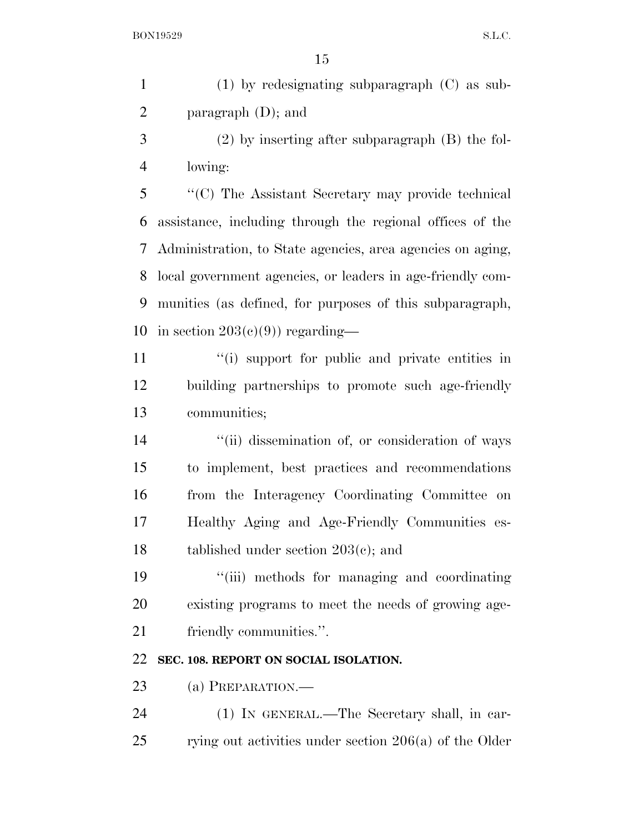(1) by redesignating subparagraph (C) as sub-paragraph (D); and

 (2) by inserting after subparagraph (B) the fol-lowing:

 ''(C) The Assistant Secretary may provide technical assistance, including through the regional offices of the Administration, to State agencies, area agencies on aging, local government agencies, or leaders in age-friendly com- munities (as defined, for purposes of this subparagraph, 10 in section  $203(e)(9)$  regarding—

11 ''(i) support for public and private entities in building partnerships to promote such age-friendly communities;

 $\frac{1}{2}$   $\frac{1}{2}$   $\frac{1}{2}$  dissemination of, or consideration of ways to implement, best practices and recommendations from the Interagency Coordinating Committee on Healthy Aging and Age-Friendly Communities es-tablished under section 203(c); and

 ''(iii) methods for managing and coordinating existing programs to meet the needs of growing age-21 friendly communities.".

## **SEC. 108. REPORT ON SOCIAL ISOLATION.**

23 (a) PREPARATION.—

 (1) IN GENERAL.—The Secretary shall, in car-rying out activities under section 206(a) of the Older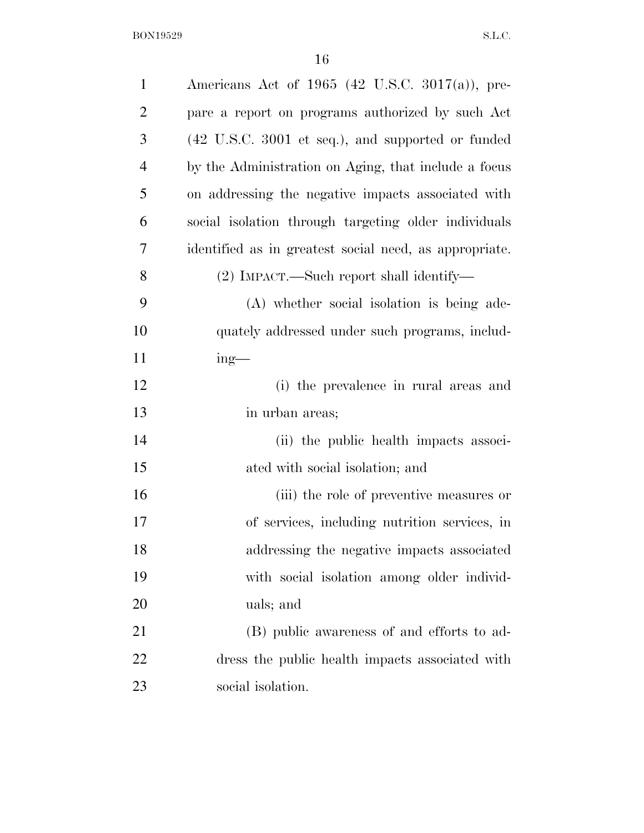| $\mathbf{1}$   | Americans Act of 1965 (42 U.S.C. 3017(a)), pre-                      |
|----------------|----------------------------------------------------------------------|
| $\overline{2}$ | pare a report on programs authorized by such Act                     |
| 3              | $(42 \text{ U.S.C. } 3001 \text{ et seq.}),$ and supported or funded |
| $\overline{4}$ | by the Administration on Aging, that include a focus                 |
| 5              | on addressing the negative impacts associated with                   |
| 6              | social isolation through targeting older individuals                 |
| 7              | identified as in greatest social need, as appropriate.               |
| 8              | (2) IMPACT.—Such report shall identify—                              |
| 9              | (A) whether social isolation is being ade-                           |
| 10             | quately addressed under such programs, includ-                       |
| 11             | $ing$ —                                                              |
| 12             | (i) the prevalence in rural areas and                                |
| 13             | in urban areas;                                                      |
| 14             | (ii) the public health impacts associ-                               |
| 15             | ated with social isolation; and                                      |
| 16             | (iii) the role of preventive measures or                             |
| 17             | of services, including nutrition services, in                        |
| 18             | addressing the negative impacts associated                           |
| 19             | with social isolation among older individ-                           |
| 20             | uals; and                                                            |
| 21             | (B) public awareness of and efforts to ad-                           |
| 22             | dress the public health impacts associated with                      |
| 23             | social isolation.                                                    |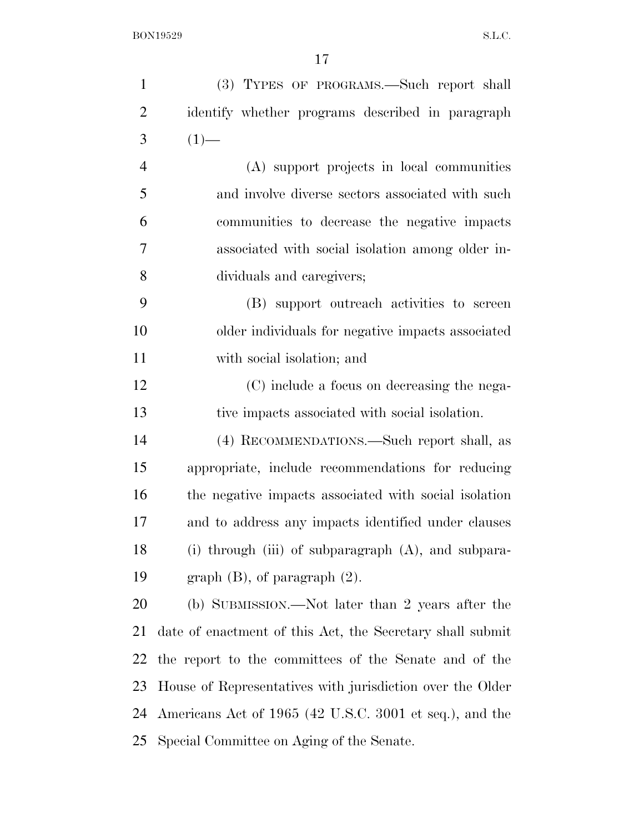| $\mathbf{1}$   | (3) TYPES OF PROGRAMS.—Such report shall                  |
|----------------|-----------------------------------------------------------|
| $\overline{2}$ | identify whether programs described in paragraph          |
| 3              | $(1)$ —                                                   |
| $\overline{4}$ | (A) support projects in local communities                 |
| 5              | and involve diverse sectors associated with such          |
| 6              | communities to decrease the negative impacts              |
| 7              | associated with social isolation among older in-          |
| 8              | dividuals and caregivers;                                 |
| 9              | (B) support outreach activities to screen                 |
| 10             | older individuals for negative impacts associated         |
| 11             | with social isolation; and                                |
| 12             | (C) include a focus on decreasing the nega-               |
| 13             | tive impacts associated with social isolation.            |
| 14             | (4) RECOMMENDATIONS.—Such report shall, as                |
| 15             | appropriate, include recommendations for reducing         |
| 16             | the negative impacts associated with social isolation     |
| 17             | and to address any impacts identified under clauses       |
| 18             | (i) through (iii) of subparagraph (A), and subpara-       |
| 19             | graph $(B)$ , of paragraph $(2)$ .                        |
| 20             | (b) SUBMISSION.—Not later than 2 years after the          |
| 21             | date of enactment of this Act, the Secretary shall submit |
| 22             | the report to the committees of the Senate and of the     |
| 23             | House of Representatives with jurisdiction over the Older |
| 24             | Americans Act of 1965 (42 U.S.C. 3001 et seq.), and the   |
| 25             | Special Committee on Aging of the Senate.                 |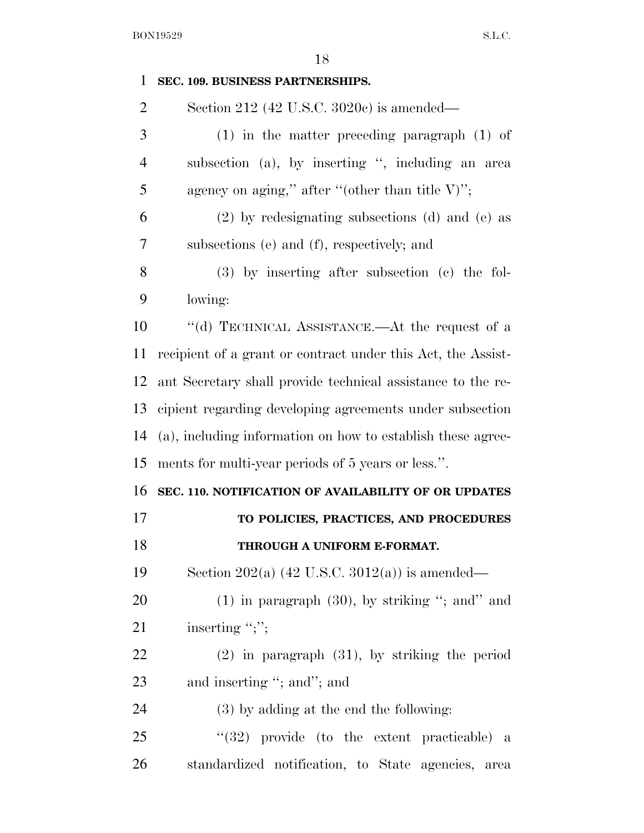| $\mathbf{1}$   | SEC. 109. BUSINESS PARTNERSHIPS.                             |
|----------------|--------------------------------------------------------------|
| $\overline{2}$ | Section 212 (42 U.S.C. 3020c) is amended—                    |
| 3              | $(1)$ in the matter preceding paragraph $(1)$ of             |
| $\overline{4}$ | subsection (a), by inserting ", including an area            |
| 5              | agency on aging," after "(other than title $V$ )";           |
| 6              | $(2)$ by redesignating subsections (d) and (e) as            |
| 7              | subsections (e) and (f), respectively; and                   |
| 8              | $(3)$ by inserting after subsection $(e)$ the fol-           |
| 9              | lowing:                                                      |
| 10             | "(d) TECHNICAL ASSISTANCE.—At the request of a               |
| 11             | recipient of a grant or contract under this Act, the Assist- |
| 12             | ant Secretary shall provide technical assistance to the re-  |
| 13             | cipient regarding developing agreements under subsection     |
| 14             | (a), including information on how to establish these agree-  |
| 15             | ments for multi-year periods of 5 years or less.".           |
| 16             | SEC. 110. NOTIFICATION OF AVAILABILITY OF OR UPDATES         |
| 17             | TO POLICIES, PRACTICES, AND PROCEDURES                       |
| 18             | THROUGH A UNIFORM E-FORMAT.                                  |
| 19             | Section 202(a) $(42 \text{ U.S.C. } 3012(a))$ is amended—    |
| 20             | $(1)$ in paragraph $(30)$ , by striking "; and" and          |
| 21             | inserting ";";                                               |
| 22             | $(2)$ in paragraph $(31)$ , by striking the period           |
| 23             | and inserting "; and"; and                                   |
|                |                                                              |
| 24             | (3) by adding at the end the following:                      |
| 25             | $(32)$ provide (to the extent practicable) a                 |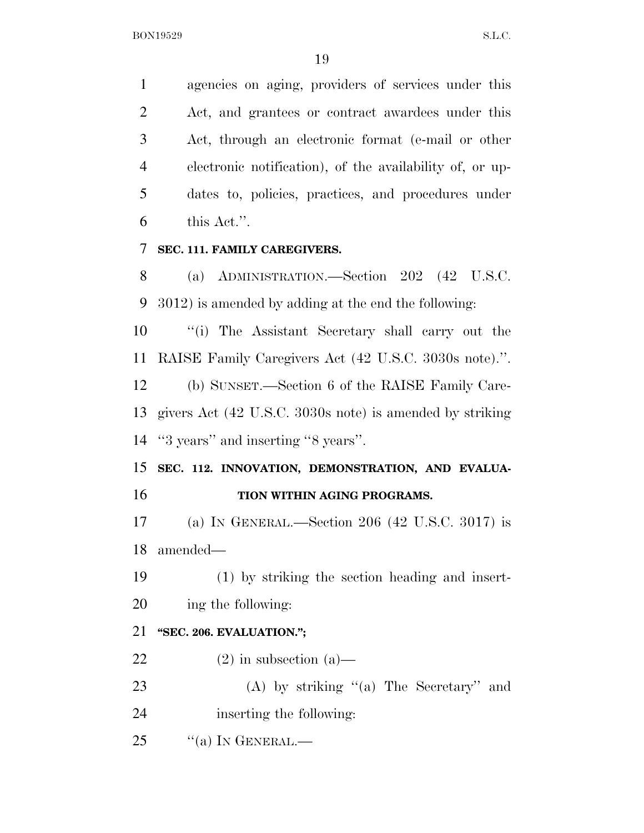agencies on aging, providers of services under this Act, and grantees or contract awardees under this Act, through an electronic format (e-mail or other electronic notification), of the availability of, or up- dates to, policies, practices, and procedures under this Act.''.

### **SEC. 111. FAMILY CAREGIVERS.**

 (a) ADMINISTRATION.—Section 202 (42 U.S.C. 3012) is amended by adding at the end the following:

 ''(i) The Assistant Secretary shall carry out the RAISE Family Caregivers Act (42 U.S.C. 3030s note).''.

 (b) SUNSET.—Section 6 of the RAISE Family Care- givers Act (42 U.S.C. 3030s note) is amended by striking ''3 years'' and inserting ''8 years''.

 **SEC. 112. INNOVATION, DEMONSTRATION, AND EVALUA-TION WITHIN AGING PROGRAMS.** 

 (a) IN GENERAL.—Section 206 (42 U.S.C. 3017) is amended—

 (1) by striking the section heading and insert-ing the following:

## **''SEC. 206. EVALUATION.'';**

- 22 (2) in subsection  $(a)$ —
- 23 (A) by striking "(a) The Secretary" and

inserting the following:

"(a) In GENERAL.—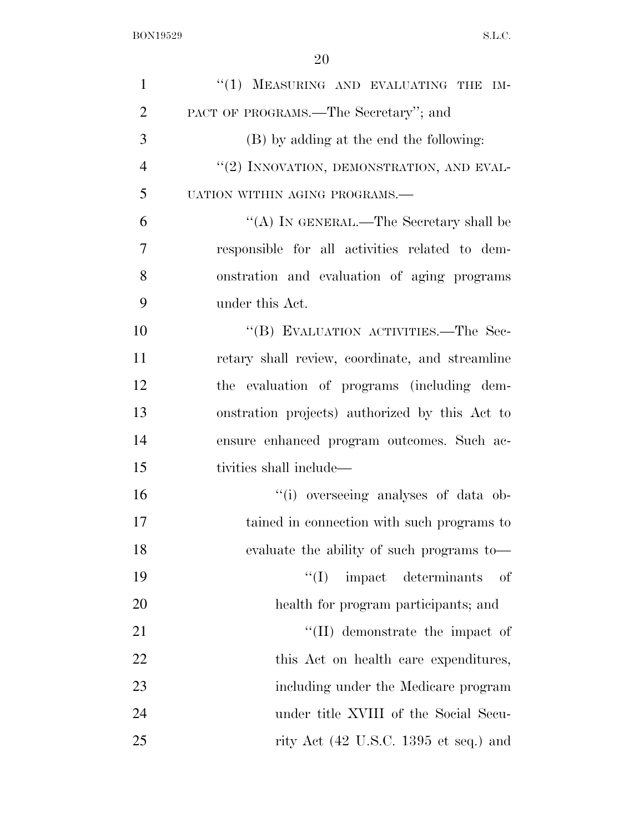| $\mathbf{1}$   | "(1) MEASURING AND EVALUATING THE IM-                    |
|----------------|----------------------------------------------------------|
| $\overline{2}$ | PACT OF PROGRAMS.—The Secretary"; and                    |
| 3              | (B) by adding at the end the following:                  |
| $\overline{4}$ | "(2) INNOVATION, DEMONSTRATION, AND EVAL-                |
| 5              | UATION WITHIN AGING PROGRAMS.-                           |
| 6              | "(A) IN GENERAL.—The Secretary shall be                  |
| 7              | responsible for all activities related to dem-           |
| 8              | onstration and evaluation of aging programs              |
| 9              | under this Act.                                          |
| 10             | "(B) EVALUATION ACTIVITIES.—The Sec-                     |
| 11             | retary shall review, coordinate, and streamline          |
| 12             | the evaluation of programs (including dem-               |
| 13             | onstration projects) authorized by this Act to           |
| 14             | ensure enhanced program outcomes. Such ac-               |
| 15             | tivities shall include—                                  |
| 16             | "(i) overseeing analyses of data ob-                     |
| 17             | tained in connection with such programs to               |
| 18             | evaluate the ability of such programs to—                |
| 19             | $\lq\lq$ impact determinants<br>— of                     |
| 20             | health for program participants; and                     |
| 21             | $\lq\lq$ (II) demonstrate the impact of                  |
| 22             | this Act on health care expenditures,                    |
| 23             | including under the Medicare program                     |
| 24             | under title XVIII of the Social Secu-                    |
| 25             | rity Act $(42 \text{ U.S.C. } 1395 \text{ et seq.})$ and |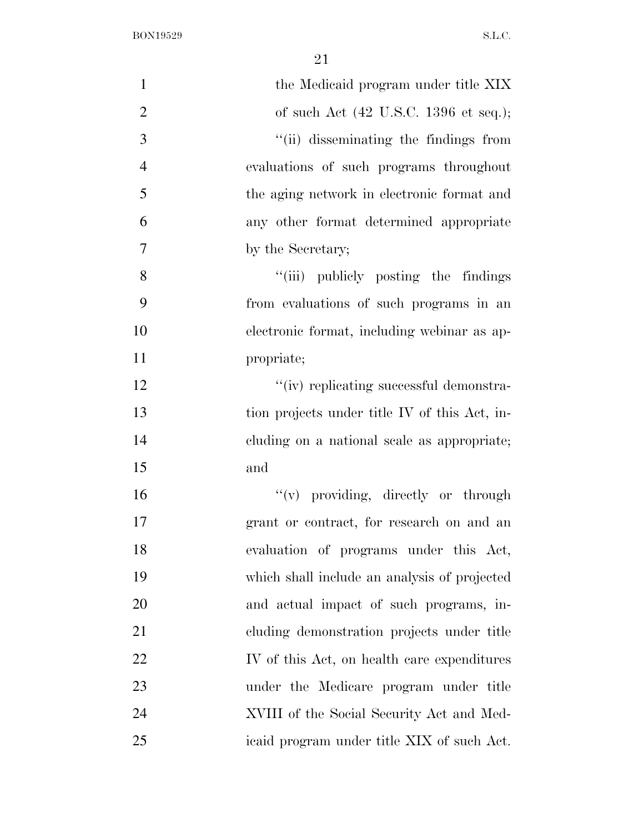| $\mathbf{1}$   | the Medicaid program under title XIX                     |
|----------------|----------------------------------------------------------|
| $\overline{2}$ | of such Act $(42 \text{ U.S.C. } 1396 \text{ et seq.});$ |
| 3              | "(ii) disseminating the findings from                    |
| $\overline{4}$ | evaluations of such programs throughout                  |
| 5              | the aging network in electronic format and               |
| 6              | any other format determined appropriate                  |
| $\overline{7}$ | by the Secretary;                                        |
|                |                                                          |
| 8              | "(iii) publicly posting the findings                     |
| 9              | from evaluations of such programs in an                  |
| 10             | electronic format, including webinar as ap-              |
| 11             | propriate;                                               |
| 12             | "(iv) replicating successful demonstra-                  |
| 13             | tion projects under title IV of this Act, in-            |
| 14             | cluding on a national scale as appropriate;              |
| 15             | and                                                      |
| 16             | "(v) providing, directly or through                      |
| 17             | grant or contract, for research on and an                |
| 18             | evaluation of programs under this Act,                   |
| 19             | which shall include an analysis of projected             |
| 20             | and actual impact of such programs, in-                  |
| 21             | cluding demonstration projects under title               |
| 22             | IV of this Act, on health care expenditures              |
| 23             | under the Medicare program under title                   |
| 24             | XVIII of the Social Security Act and Med-                |
| 25             | icaid program under title XIX of such Act.               |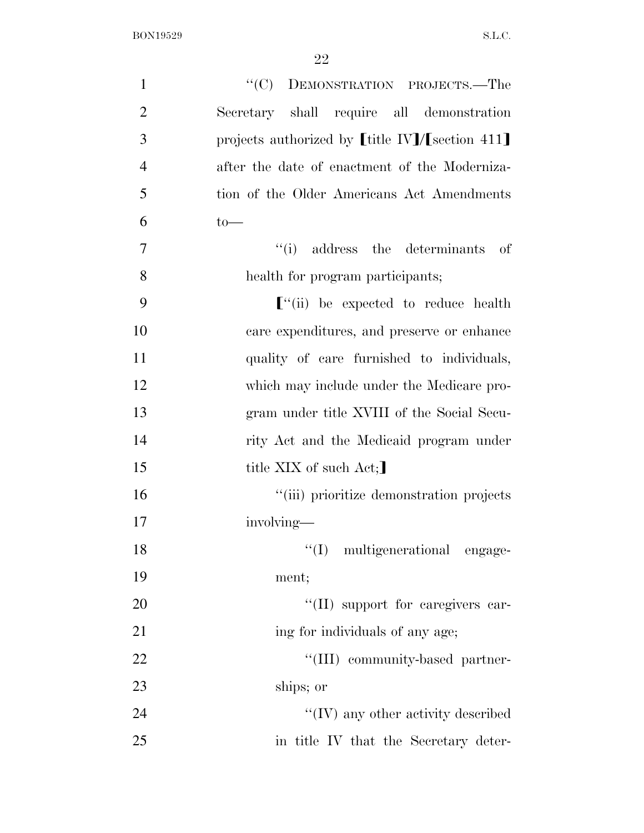| $\mathbf{1}$   | "(C) DEMONSTRATION PROJECTS.—The                             |
|----------------|--------------------------------------------------------------|
| $\overline{2}$ | Secretary shall require all demonstration                    |
| 3              | projects authorized by $[\![$ title IV]/ $[\!]$ section 411] |
| $\overline{4}$ | after the date of enactment of the Moderniza-                |
| 5              | tion of the Older Americans Act Amendments                   |
| 6              | $to-$                                                        |
| $\overline{7}$ | "(i) address the determinants of                             |
| 8              | health for program participants;                             |
| 9              | $\lbrack$ "(ii) be expected to reduce health                 |
| 10             | care expenditures, and preserve or enhance                   |
| 11             | quality of care furnished to individuals,                    |
| 12             | which may include under the Medicare pro-                    |
| 13             | gram under title XVIII of the Social Secu-                   |
| 14             | rity Act and the Medicaid program under                      |
| 15             | title XIX of such Act;                                       |
| 16             | "(iii) prioritize demonstration projects                     |
| 17             | involving—                                                   |
| 18             | "(I) multigenerational engage-                               |
| 19             | ment;                                                        |
| 20             | "(II) support for caregivers car-                            |
| 21             | ing for individuals of any age;                              |
| 22             | "(III) community-based partner-                              |
| 23             | ships; or                                                    |
| 24             | $\lq\lq$ (IV) any other activity described                   |
| 25             | in title IV that the Secretary deter-                        |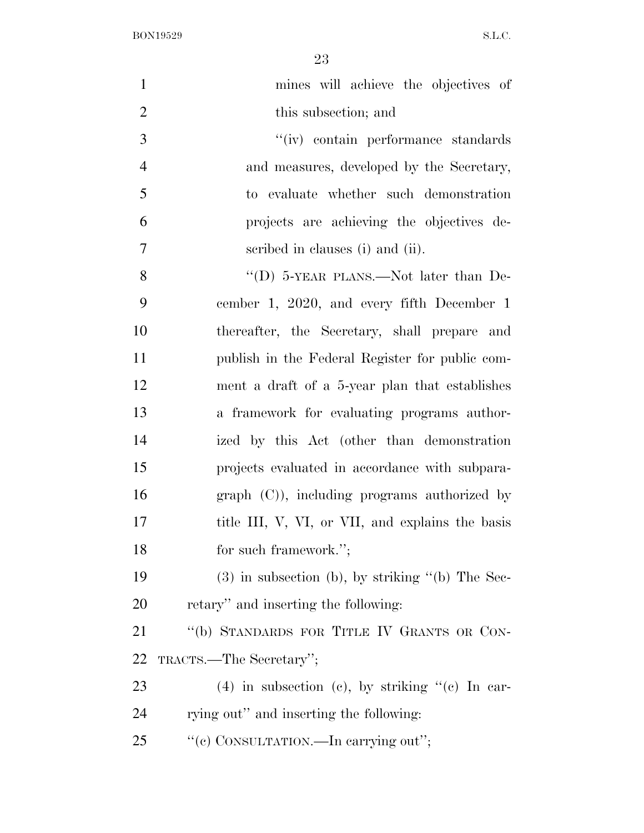| $\mathbf{1}$   | mines will achieve the objectives of               |
|----------------|----------------------------------------------------|
| $\overline{2}$ | this subsection; and                               |
| 3              | "(iv) contain performance standards                |
| $\overline{4}$ | and measures, developed by the Secretary,          |
| 5              | to evaluate whether such demonstration             |
| 6              | projects are achieving the objectives de-          |
| $\overline{7}$ | scribed in clauses (i) and (ii).                   |
| 8              | "(D) $5$ -YEAR PLANS.—Not later than De-           |
| 9              | cember 1, 2020, and every fifth December 1         |
| 10             | thereafter, the Secretary, shall prepare and       |
| 11             | publish in the Federal Register for public com-    |
| 12             | ment a draft of a 5-year plan that establishes     |
| 13             | a framework for evaluating programs author-        |
| 14             | ized by this Act (other than demonstration         |
| 15             | projects evaluated in accordance with subpara-     |
| 16             | $graph (C)$ , including programs authorized by     |
| 17             | title III, V, VI, or VII, and explains the basis   |
| 18             | for such framework.";                              |
| 19             | $(3)$ in subsection (b), by striking "(b) The Sec- |
| 20             | retary" and inserting the following:               |
| 21             | "(b) STANDARDS FOR TITLE IV GRANTS OR CON-         |
| 22             | TRACTS.—The Secretary";                            |
| 23             | $(4)$ in subsection (c), by striking "(c) In car-  |
| 24             | rying out" and inserting the following:            |
| 25             | "(c) CONSULTATION.—In carrying out";               |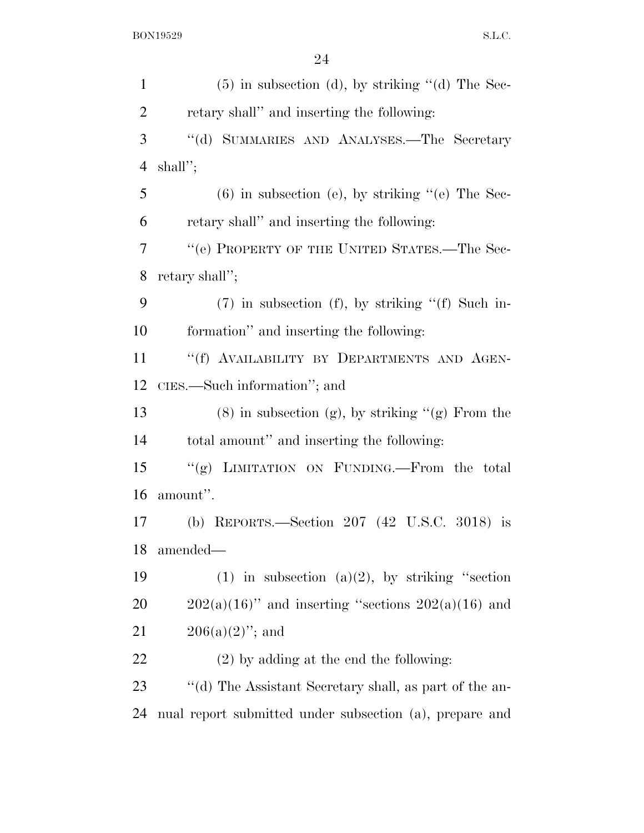| $\mathbf{1}$   | $(5)$ in subsection (d), by striking "(d) The Sec-      |
|----------------|---------------------------------------------------------|
| $\overline{2}$ | retary shall" and inserting the following:              |
| 3              | "(d) SUMMARIES AND ANALYSES.—The Secretary              |
| $\overline{4}$ | shall";                                                 |
| 5              | $(6)$ in subsection (e), by striking "(e) The Sec-      |
| 6              | retary shall" and inserting the following:              |
| 7              | $\lq\lq (e)$ PROPERTY OF THE UNITED STATES.—The Sec-    |
| 8              | retary shall";                                          |
| 9              | $(7)$ in subsection (f), by striking " $(f)$ Such in-   |
| 10             | formation" and inserting the following:                 |
| 11             | "(f) AVAILABILITY BY DEPARTMENTS AND AGEN-              |
| 12             | CIES.—Such information"; and                            |
| 13             | $(8)$ in subsection (g), by striking "(g) From the      |
| 14             | total amount" and inserting the following:              |
| 15             | "(g) LIMITATION ON FUNDING.—From the total              |
| 16             | amount".                                                |
| 17             | (b) REPORTS.—Section 207 (42 U.S.C. 3018) is            |
| 18             | amended-                                                |
| 19             | (1) in subsection (a)(2), by striking "section          |
| 20             | $202(a)(16)$ " and inserting "sections $202(a)(16)$ and |
| 21             | $206(a)(2)$ "; and                                      |
| 22             | $(2)$ by adding at the end the following:               |
| 23             | "(d) The Assistant Secretary shall, as part of the an-  |
| 24             | nual report submitted under subsection (a), prepare and |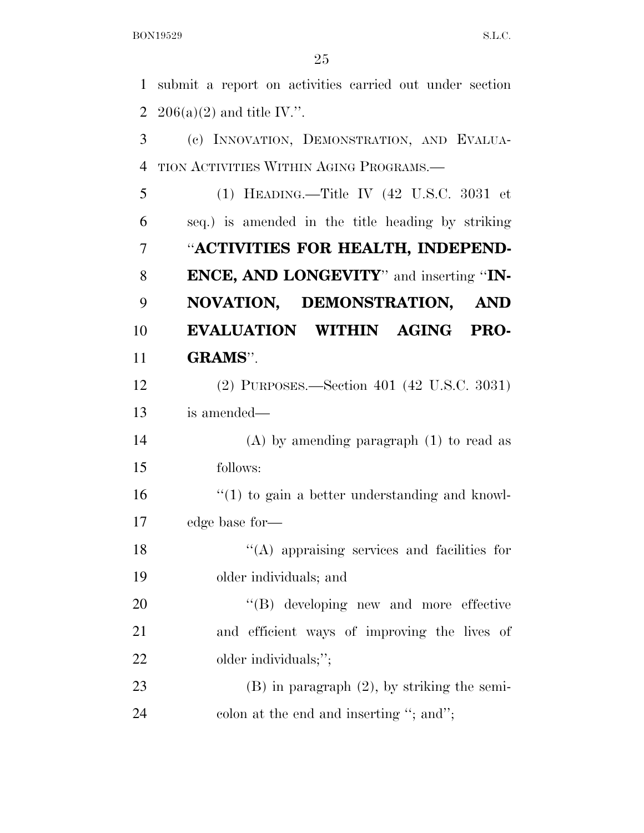submit a report on activities carried out under section 2 206(a)(2) and title IV.".

 (c) INNOVATION, DEMONSTRATION, AND EVALUA-TION ACTIVITIES WITHIN AGING PROGRAMS.—

 (1) HEADING.—Title IV (42 U.S.C. 3031 et seq.) is amended in the title heading by striking ''**ACTIVITIES FOR HEALTH, INDEPEND- ENCE, AND LONGEVITY**'' and inserting ''**IN- NOVATION, DEMONSTRATION, AND EVALUATION WITHIN AGING PRO-GRAMS**''.

 (2) PURPOSES.—Section 401 (42 U.S.C. 3031) is amended—

 (A) by amending paragraph (1) to read as follows:

 $\frac{16}{10}$  <sup>''</sup>(1) to gain a better understanding and knowl-edge base for—

18 ''(A) appraising services and facilities for older individuals; and

20  $'(B)$  developing new and more effective and efficient ways of improving the lives of 22 older individuals;";

 (B) in paragraph (2), by striking the semi-24 colon at the end and inserting "; and";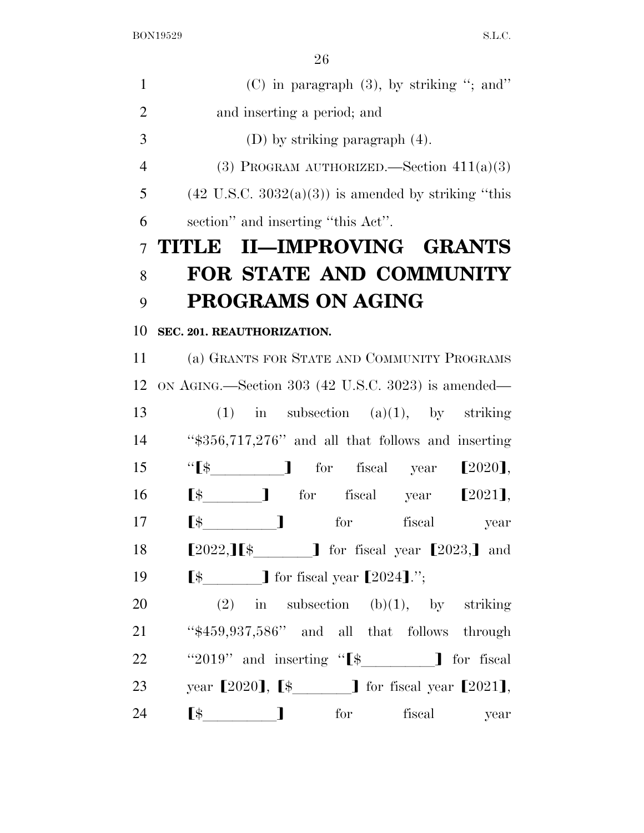| $\mathbf{1}$   | $(C)$ in paragraph $(3)$ , by striking "; and"                                                                                                                                                                                                                                                                                                                                                           |
|----------------|----------------------------------------------------------------------------------------------------------------------------------------------------------------------------------------------------------------------------------------------------------------------------------------------------------------------------------------------------------------------------------------------------------|
| $\overline{2}$ | and inserting a period; and                                                                                                                                                                                                                                                                                                                                                                              |
| 3              | (D) by striking paragraph $(4)$ .                                                                                                                                                                                                                                                                                                                                                                        |
| $\overline{4}$ | (3) PROGRAM AUTHORIZED. Section $411(a)(3)$                                                                                                                                                                                                                                                                                                                                                              |
| 5              | $(42 \text{ U.S.C. } 3032(a)(3))$ is amended by striking "this                                                                                                                                                                                                                                                                                                                                           |
| 6              | section" and inserting "this Act".                                                                                                                                                                                                                                                                                                                                                                       |
| $\overline{7}$ | TITLE II-IMPROVING GRANTS                                                                                                                                                                                                                                                                                                                                                                                |
| 8              | <b>FOR STATE AND COMMUNITY</b>                                                                                                                                                                                                                                                                                                                                                                           |
| 9              | <b>PROGRAMS ON AGING</b>                                                                                                                                                                                                                                                                                                                                                                                 |
| 10             | SEC. 201. REAUTHORIZATION.                                                                                                                                                                                                                                                                                                                                                                               |
| 11             | (a) GRANTS FOR STATE AND COMMUNITY PROGRAMS                                                                                                                                                                                                                                                                                                                                                              |
| 12             | ON AGING.—Section 303 (42 U.S.C. 3023) is amended—                                                                                                                                                                                                                                                                                                                                                       |
| 13             | $(1)$ in subsection $(a)(1)$ , by striking                                                                                                                                                                                                                                                                                                                                                               |
| 14             | "\$356,717,276" and all that follows and inserting                                                                                                                                                                                                                                                                                                                                                       |
| 15             |                                                                                                                                                                                                                                                                                                                                                                                                          |
| 16             | $\begin{bmatrix} \frac{1}{2} & \frac{1}{2} & \frac{1}{2} & \frac{1}{2} & \frac{1}{2} & \frac{1}{2} & \frac{1}{2} & \frac{1}{2} & \frac{1}{2} & \frac{1}{2} & \frac{1}{2} & \frac{1}{2} & \frac{1}{2} & \frac{1}{2} & \frac{1}{2} & \frac{1}{2} & \frac{1}{2} & \frac{1}{2} & \frac{1}{2} & \frac{1}{2} & \frac{1}{2} & \frac{1}{2} & \frac{1}{2} & \frac{1}{2} & \frac{1}{2} & \frac{1}{2} & \frac{1}{2$ |
| 17             | and the first part of the<br>$\mathbb{S}$<br>for<br>fiscal<br>year                                                                                                                                                                                                                                                                                                                                       |
| 18             | $[2022,]\begin{bmatrix} \$ & \end{bmatrix}$ for fiscal year $[2023,]\begin{bmatrix} \$ \end{bmatrix}$ and                                                                                                                                                                                                                                                                                                |
| 19             |                                                                                                                                                                                                                                                                                                                                                                                                          |
| 20             | $(2)$ in subsection $(b)(1)$ , by striking                                                                                                                                                                                                                                                                                                                                                               |
| 21             | "\$459,937,586" and all that follows through                                                                                                                                                                                                                                                                                                                                                             |
| 22             | "2019" and inserting " $\left[\frac{4}{3}\right]$ for fiscal                                                                                                                                                                                                                                                                                                                                             |
| 23             | year [2020], [\$_______] for fiscal year [2021],                                                                                                                                                                                                                                                                                                                                                         |
| 24             | $\begin{bmatrix} \$ & \end{bmatrix}$<br>for<br>fiscal<br>year                                                                                                                                                                                                                                                                                                                                            |
|                |                                                                                                                                                                                                                                                                                                                                                                                                          |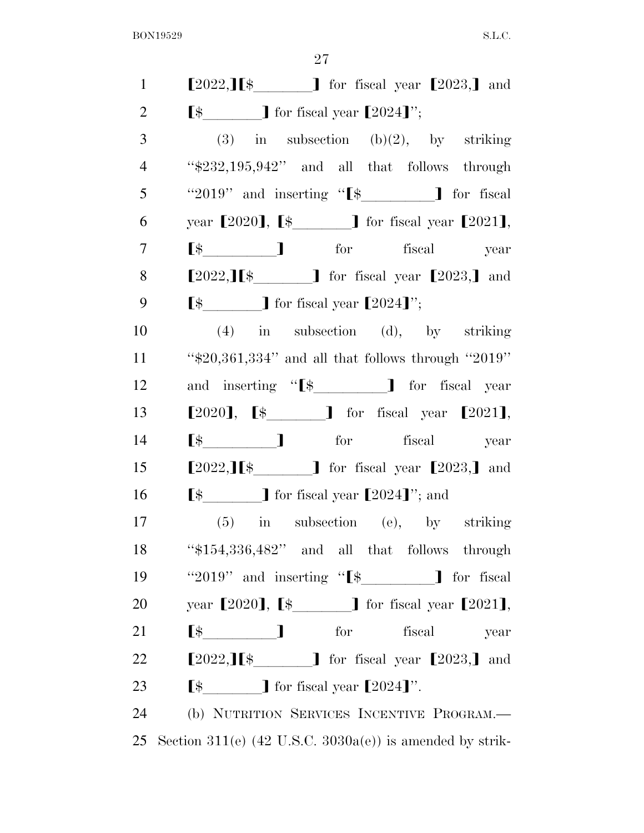| $\mathbf{1}$   | $[2022,]\mathbf{I}\$ for fiscal year $[2023,]\mathbf{I}$ and                                                                                                                                                                                                                                                                                                                                                                                                                            |
|----------------|-----------------------------------------------------------------------------------------------------------------------------------------------------------------------------------------------------------------------------------------------------------------------------------------------------------------------------------------------------------------------------------------------------------------------------------------------------------------------------------------|
| $\overline{2}$ |                                                                                                                                                                                                                                                                                                                                                                                                                                                                                         |
| 3              | (3) in subsection (b)(2), by striking                                                                                                                                                                                                                                                                                                                                                                                                                                                   |
| $\overline{4}$ | " $232,195,942"$ and all that follows through                                                                                                                                                                                                                                                                                                                                                                                                                                           |
| 5              | "2019" and inserting " $\[ \$ " $\]$ for fiscal                                                                                                                                                                                                                                                                                                                                                                                                                                         |
| 6              | year [2020], [\$_______] for fiscal year [2021],                                                                                                                                                                                                                                                                                                                                                                                                                                        |
| 7              | $\begin{tabular}{llll} \hline $\$\mathbb{S}$ & \multicolumn{3}{l} \multicolumn{3}{c} \multicolumn{3}{c} \multicolumn{3}{c} \multicolumn{3}{c} \multicolumn{3}{c} \multicolumn{3}{c} \multicolumn{3}{c} \multicolumn{3}{c} \multicolumn{3}{c} \multicolumn{3}{c} \multicolumn{3}{c} \multicolumn{3}{c} \multicolumn{3}{c} \multicolumn{3}{c} \multicolumn{3}{c} \multicolumn{3}{c} \multicolumn{3}{c} \multicolumn{3}{c} \multicolumn{3}{c} \multicolumn{3}{c} \multicolumn{3}{c} \mult$ |
| 8              | $[2022,]\mathbf{I}\$ for fiscal year $[2023,]\mathbf{I}$ and                                                                                                                                                                                                                                                                                                                                                                                                                            |
| 9              |                                                                                                                                                                                                                                                                                                                                                                                                                                                                                         |
| 10             | $(4)$ in subsection $(d)$ , by striking                                                                                                                                                                                                                                                                                                                                                                                                                                                 |
| 11             | " $$20,361,334"$ and all that follows through " $2019"$                                                                                                                                                                                                                                                                                                                                                                                                                                 |
| 12             | and inserting "[\$_________] for fiscal year                                                                                                                                                                                                                                                                                                                                                                                                                                            |
| 13             | $[2020]$ , $[\frac{1}{202}]$ for fiscal year $[2021]$ ,                                                                                                                                                                                                                                                                                                                                                                                                                                 |
| 14             | $\begin{bmatrix} \$ & & \end{bmatrix}$ for fiscal year                                                                                                                                                                                                                                                                                                                                                                                                                                  |
| 15             | $[2022,]\begin{bmatrix} \$ & \end{bmatrix}$ for fiscal year $[2023,]\begin{bmatrix} \$ \end{bmatrix}$ and                                                                                                                                                                                                                                                                                                                                                                               |
| 16             | $\left[\frac{1}{2}\right]$ for fiscal year $\left[\frac{2024}{1}\right]$ ; and                                                                                                                                                                                                                                                                                                                                                                                                          |
| 17             | $(5)$ in subsection (e), by striking                                                                                                                                                                                                                                                                                                                                                                                                                                                    |
| 18             | " $$154,336,482"$ and all that follows through                                                                                                                                                                                                                                                                                                                                                                                                                                          |
| 19             | "2019" and inserting "[\$_________] for fiscal                                                                                                                                                                                                                                                                                                                                                                                                                                          |
| 20             | year $[2020]$ , $[\frac{1}{2021}]$ for fiscal year $[2021]$ ,                                                                                                                                                                                                                                                                                                                                                                                                                           |
| 21             | $\lbrack$ $\uparrow$ $\qquad$ $\qquad$ $\qquad$ for fiscal<br>year                                                                                                                                                                                                                                                                                                                                                                                                                      |
| 22             | $[2022,]\nI\$ . $]$ for fiscal year $[2023,]\n$ and                                                                                                                                                                                                                                                                                                                                                                                                                                     |
| 23             | $\left[\frac{1}{2} \frac{1}{2} \frac{1}{2} \frac{1}{2} \frac{1}{2} \frac{1}{2} \frac{1}{2} \frac{1}{2} \frac{1}{2} \frac{1}{2} \frac{1}{2} \frac{1}{2} \frac{1}{2} \frac{1}{2} \frac{1}{2} \frac{1}{2} \frac{1}{2} \frac{1}{2} \frac{1}{2} \frac{1}{2} \frac{1}{2} \frac{1}{2} \frac{1}{2} \frac{1}{2} \frac{1}{2} \frac{1}{2} \frac{1}{2} \frac{1}{2} \frac{1}{2} \frac{1}{2} \frac{1}{2} \$                                                                                           |
| 24             | (b) NUTRITION SERVICES INCENTIVE PROGRAM.                                                                                                                                                                                                                                                                                                                                                                                                                                               |
| 25             | Section 311(e) $(42 \text{ U.S.C. } 3030a(e))$ is amended by strik-                                                                                                                                                                                                                                                                                                                                                                                                                     |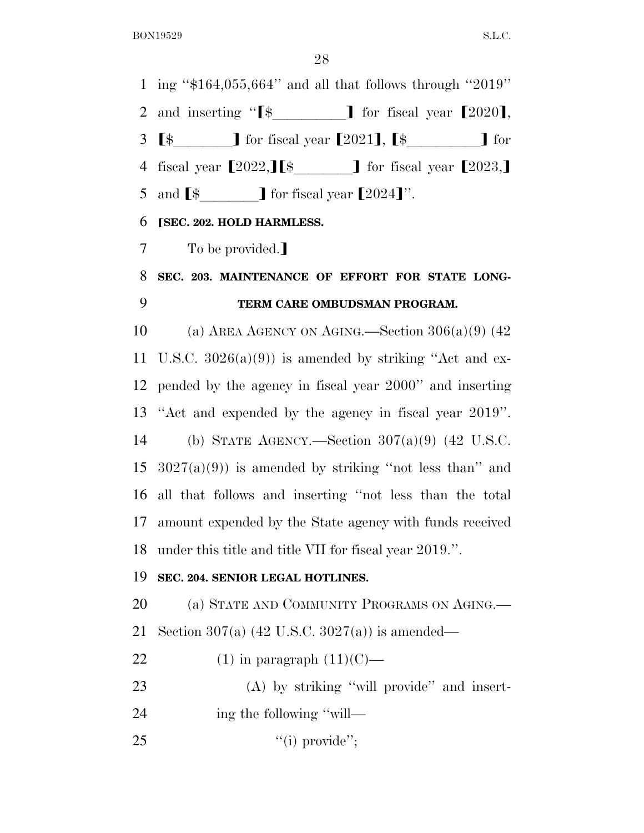$\Omega$ 

| 28                                                                                                                                                                                                                                                                                                                                                                                                                                                            |
|---------------------------------------------------------------------------------------------------------------------------------------------------------------------------------------------------------------------------------------------------------------------------------------------------------------------------------------------------------------------------------------------------------------------------------------------------------------|
| 1 ing " $$164,055,664"$ and all that follows through "2019"                                                                                                                                                                                                                                                                                                                                                                                                   |
| and inserting " $\[ \$\]$ for fiscal year $[2020]$ ,                                                                                                                                                                                                                                                                                                                                                                                                          |
| $\left[\frac{1}{2} \quad \frac{1}{2} \quad \frac{1}{2} \quad \frac{1}{2} \quad \frac{1}{2} \quad \frac{1}{2} \quad \frac{1}{2} \quad \frac{1}{2} \quad \frac{1}{2} \quad \frac{1}{2} \quad \frac{1}{2} \quad \frac{1}{2} \quad \frac{1}{2} \quad \frac{1}{2} \quad \frac{1}{2} \quad \frac{1}{2} \quad \frac{1}{2} \quad \frac{1}{2} \quad \frac{1}{2} \quad \frac{1}{2} \quad \frac{1}{2} \quad \frac{1}{2} \quad \frac{1}{2} \quad \frac{1}{2} \quad \frac$ |
| fiscal year $[2022,]\left[\frac{1}{2}\right]$ for fiscal year $[2023,]\right]$                                                                                                                                                                                                                                                                                                                                                                                |
| and $\lbrack$ $\uparrow$ $\uparrow$ or fiscal year $\lbrack 2024 \rbrack$ ".                                                                                                                                                                                                                                                                                                                                                                                  |
| [SEC. 202. HOLD HARMLESS.                                                                                                                                                                                                                                                                                                                                                                                                                                     |
| To be provided.]                                                                                                                                                                                                                                                                                                                                                                                                                                              |
| SEC. 203. MAINTENANCE OF EFFORT FOR STATE LONG-                                                                                                                                                                                                                                                                                                                                                                                                               |
| TERM CARE OMBUDSMAN PROGRAM.                                                                                                                                                                                                                                                                                                                                                                                                                                  |
| (a) AREA AGENCY ON AGING.—Section $306(a)(9)$ (42)                                                                                                                                                                                                                                                                                                                                                                                                            |
| U.S.C. $3026(a)(9)$ is amended by striking "Act and ex-                                                                                                                                                                                                                                                                                                                                                                                                       |
| pended by the agency in fiscal year 2000" and inserting                                                                                                                                                                                                                                                                                                                                                                                                       |
| "Act and expended by the agency in fiscal year 2019".                                                                                                                                                                                                                                                                                                                                                                                                         |
| (b) STATE AGENCY.—Section $307(a)(9)$ (42 U.S.C.                                                                                                                                                                                                                                                                                                                                                                                                              |
| $3027(a)(9)$ is amended by striking "not less than" and                                                                                                                                                                                                                                                                                                                                                                                                       |
| all that follows and inserting "not less than the total                                                                                                                                                                                                                                                                                                                                                                                                       |
| 17 amount expended by the State agency with funds received                                                                                                                                                                                                                                                                                                                                                                                                    |
| under this title and title VII for fiscal year 2019.".                                                                                                                                                                                                                                                                                                                                                                                                        |
| SEC. 204. SENIOR LEGAL HOTLINES.                                                                                                                                                                                                                                                                                                                                                                                                                              |
| (a) STATE AND COMMUNITY PROGRAMS ON AGING.                                                                                                                                                                                                                                                                                                                                                                                                                    |
| Section 307(a) $(42 \text{ U.S.C. } 3027(a))$ is amended—                                                                                                                                                                                                                                                                                                                                                                                                     |
| $(1)$ in paragraph $(11)(C)$ —                                                                                                                                                                                                                                                                                                                                                                                                                                |
|                                                                                                                                                                                                                                                                                                                                                                                                                                                               |
| (A) by striking "will provide" and insert-                                                                                                                                                                                                                                                                                                                                                                                                                    |
| ing the following "will-                                                                                                                                                                                                                                                                                                                                                                                                                                      |
|                                                                                                                                                                                                                                                                                                                                                                                                                                                               |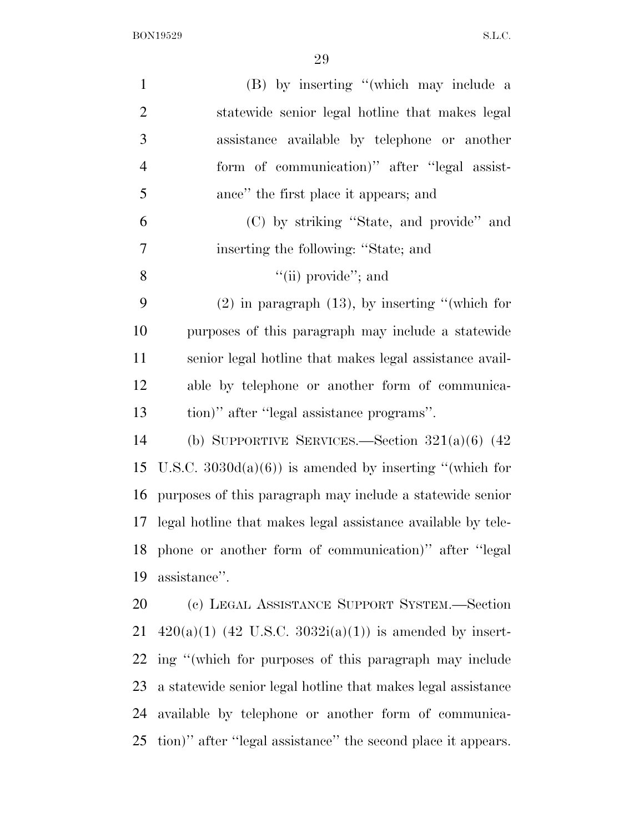| $\mathbf{1}$   | (B) by inserting "(which may include a                          |
|----------------|-----------------------------------------------------------------|
| $\overline{2}$ | statewide senior legal hotline that makes legal                 |
| 3              | assistance available by telephone or another                    |
| $\overline{4}$ | form of communication)" after "legal assist-                    |
| 5              | ance" the first place it appears; and                           |
| 6              | (C) by striking "State, and provide" and                        |
| 7              | inserting the following: "State; and                            |
| 8              | "(ii) provide"; and                                             |
| 9              | $(2)$ in paragraph $(13)$ , by inserting "(which for            |
| 10             | purposes of this paragraph may include a statewide              |
| 11             | senior legal hotline that makes legal assistance avail-         |
| 12             | able by telephone or another form of communica-                 |
| 13             | tion)" after "legal assistance programs".                       |
| 14             | (b) SUPPORTIVE SERVICES.—Section $321(a)(6)$ (42)               |
| 15             | U.S.C. $3030d(a)(6)$ is amended by inserting "(which for        |
| 16             | purposes of this paragraph may include a statewide senior       |
|                | 17 legal hotline that makes legal assistance available by tele- |
|                | 18 phone or another form of communication)" after "legal        |
| 19             | assistance".                                                    |
| 20             | (c) LEGAL ASSISTANCE SUPPORT SYSTEM.—Section                    |
| 21             | $420(a)(1)$ (42 U.S.C. 3032i(a)(1)) is amended by insert-       |
| 22             | ing "(which for purposes of this paragraph may include          |
| 23             | a statewide senior legal hotline that makes legal assistance    |
| 24             | available by telephone or another form of communica-            |
| 25             | tion)" after "legal assistance" the second place it appears.    |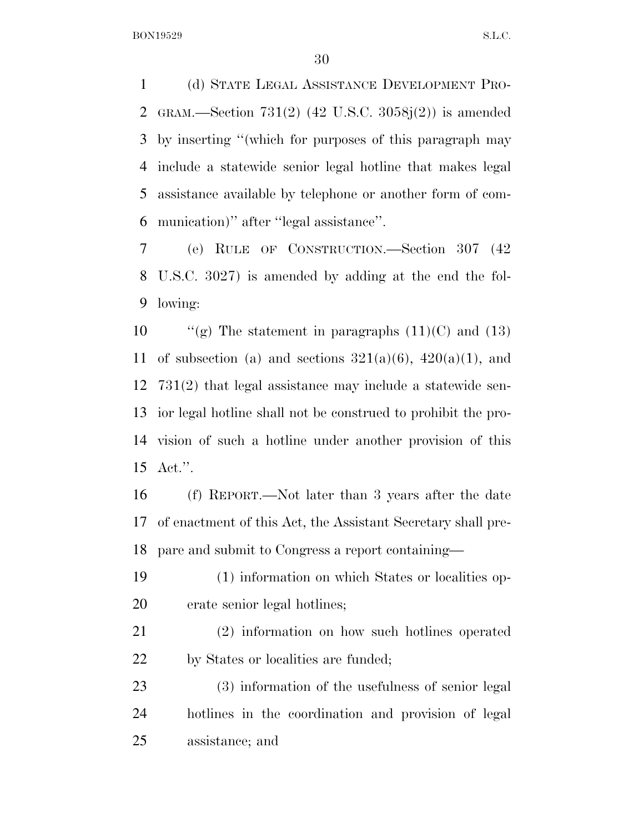(d) STATE LEGAL ASSISTANCE DEVELOPMENT PRO- GRAM.—Section 731(2) (42 U.S.C. 3058j(2)) is amended by inserting ''(which for purposes of this paragraph may include a statewide senior legal hotline that makes legal assistance available by telephone or another form of com-munication)'' after ''legal assistance''.

 (e) RULE OF CONSTRUCTION.—Section 307 (42 U.S.C. 3027) is amended by adding at the end the fol-lowing:

 $\frac{10}{2}$  The statement in paragraphs (11)(C) and (13) 11 of subsection (a) and sections  $321(a)(6)$ ,  $420(a)(1)$ , and 731(2) that legal assistance may include a statewide sen- ior legal hotline shall not be construed to prohibit the pro- vision of such a hotline under another provision of this Act.''.

 (f) REPORT.—Not later than 3 years after the date of enactment of this Act, the Assistant Secretary shall pre-pare and submit to Congress a report containing—

 (1) information on which States or localities op-erate senior legal hotlines;

 (2) information on how such hotlines operated 22 by States or localities are funded;

 (3) information of the usefulness of senior legal hotlines in the coordination and provision of legal assistance; and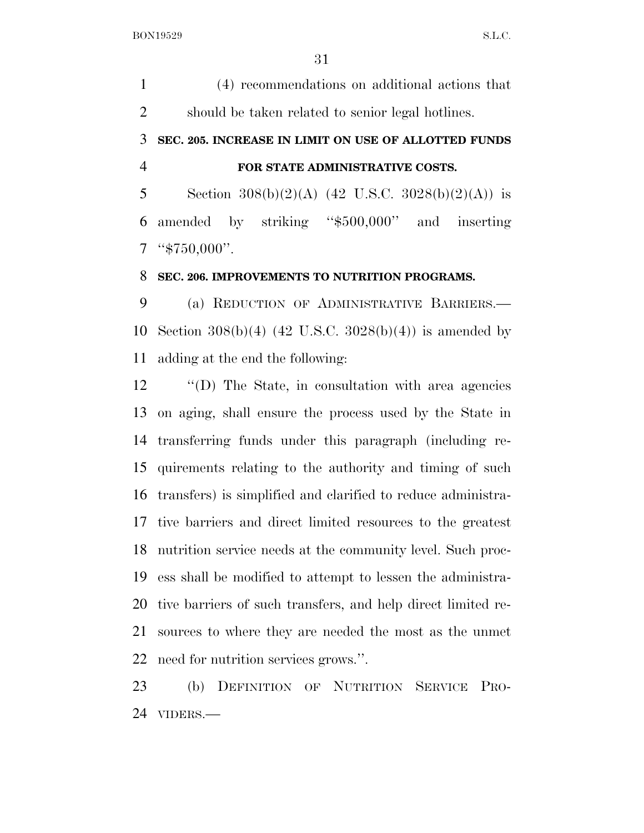(4) recommendations on additional actions that should be taken related to senior legal hotlines.

# **SEC. 205. INCREASE IN LIMIT ON USE OF ALLOTTED FUNDS FOR STATE ADMINISTRATIVE COSTS.**

5 Section  $308(b)(2)(A)$  (42 U.S.C.  $3028(b)(2)(A)$ ) is amended by striking ''\$500,000'' and inserting ''\$750,000''.

### **SEC. 206. IMPROVEMENTS TO NUTRITION PROGRAMS.**

 (a) REDUCTION OF ADMINISTRATIVE BARRIERS.— Section 308(b)(4) (42 U.S.C. 3028(b)(4)) is amended by adding at the end the following:

 ''(D) The State, in consultation with area agencies on aging, shall ensure the process used by the State in transferring funds under this paragraph (including re- quirements relating to the authority and timing of such transfers) is simplified and clarified to reduce administra- tive barriers and direct limited resources to the greatest nutrition service needs at the community level. Such proc- ess shall be modified to attempt to lessen the administra- tive barriers of such transfers, and help direct limited re- sources to where they are needed the most as the unmet need for nutrition services grows.''.

 (b) DEFINITION OF NUTRITION SERVICE PRO-VIDERS.—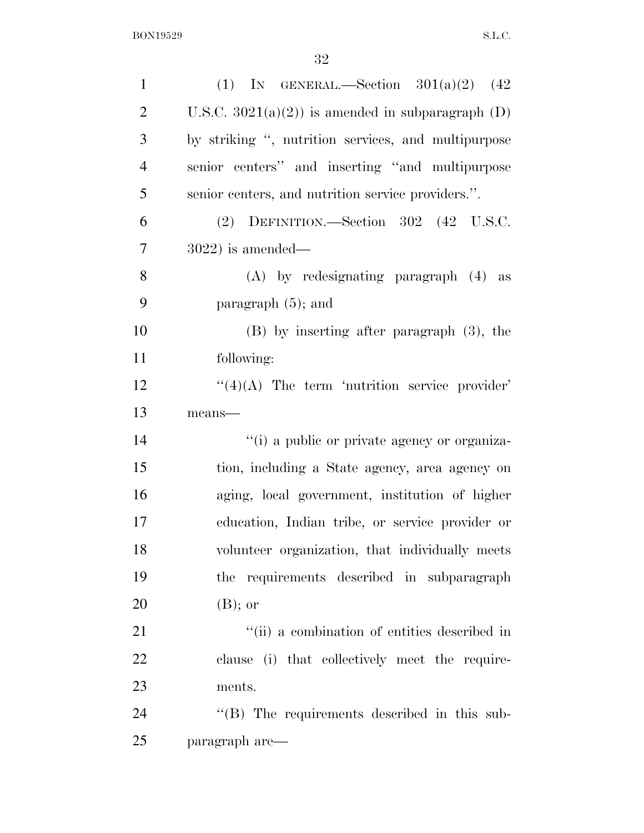| $\mathbf{1}$   | (1) IN GENERAL.—Section $301(a)(2)$ (42)            |
|----------------|-----------------------------------------------------|
| $\overline{2}$ | U.S.C. $3021(a)(2)$ is amended in subparagraph (D)  |
| 3              | by striking ", nutrition services, and multipurpose |
| $\overline{4}$ | senior centers" and inserting "and multipurpose     |
| 5              | senior centers, and nutrition service providers.".  |
| 6              | (2) DEFINITION.—Section 302 (42 U.S.C.              |
| 7              | $3022$ ) is amended—                                |
| 8              | $(A)$ by redesignating paragraph $(4)$ as           |
| 9              | paragraph $(5)$ ; and                               |
| 10             | $(B)$ by inserting after paragraph $(3)$ , the      |
| 11             | following:                                          |
| 12             | $\lq(4)(A)$ The term 'nutrition service provider'   |
| 13             | means-                                              |
| 14             | "(i) a public or private agency or organiza-        |
| 15             | tion, including a State agency, area agency on      |
| 16             | aging, local government, institution of higher      |
| 17             | education, Indian tribe, or service provider or     |
| 18             | volunteer organization, that individually meets     |
| 19             | the requirements described in subparagraph          |
| 20             | $(B)$ ; or                                          |
| 21             | "(ii) a combination of entities described in        |
| 22             | clause (i) that collectively meet the require-      |
| 23             | ments.                                              |
| 24             | "(B) The requirements described in this sub-        |
| 25             | paragraph are—                                      |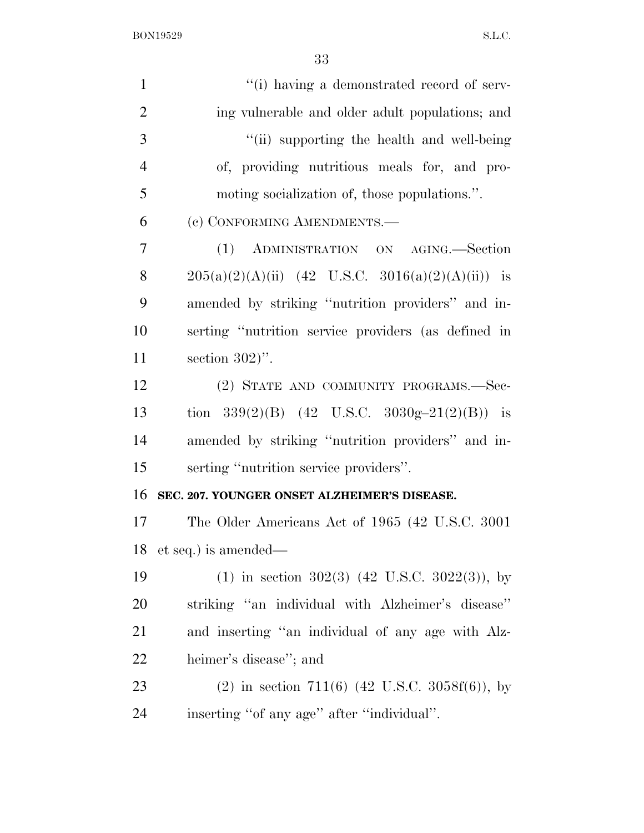| $\mathbf{1}$   | "(i) having a demonstrated record of serv-          |
|----------------|-----------------------------------------------------|
| $\mathfrak{2}$ | ing vulnerable and older adult populations; and     |
| 3              | "(ii) supporting the health and well-being          |
| $\overline{4}$ | of, providing nutritious meals for, and pro-        |
| 5              | moting socialization of, those populations.".       |
| 6              | (c) CONFORMING AMENDMENTS.-                         |
| 7              | (1) ADMINISTRATION ON AGING.-Section                |
| 8              | $205(a)(2)(A)(ii)$ (42 U.S.C. 3016(a)(2)(A)(ii)) is |
| 9              | amended by striking "nutrition providers" and in-   |
| 10             | serting "nutrition service providers (as defined in |
| 11             | section $302$ .                                     |
| 12             | (2) STATE AND COMMUNITY PROGRAMS.—Sec-              |
| 13             | tion 339(2)(B) (42 U.S.C. 3030g-21(2)(B)) is        |
| 14             | amended by striking "nutrition providers" and in-   |
| 15             | serting "nutrition service providers".              |
| 16             | SEC. 207. YOUNGER ONSET ALZHEIMER'S DISEASE.        |
| 17             | The Older Americans Act of 1965 (42 U.S.C. 3001)    |
| 18             | et seq.) is amended—                                |
| 19             | (1) in section 302(3) (42 U.S.C. 3022(3)), by       |
| 20             | striking "an individual with Alzheimer's disease"   |
| 21             | and inserting "an individual of any age with Alz-   |
| 22             | heimer's disease"; and                              |
| 23             | (2) in section 711(6) (42 U.S.C. 3058f(6)), by      |
| 24             | inserting "of any age" after "individual".          |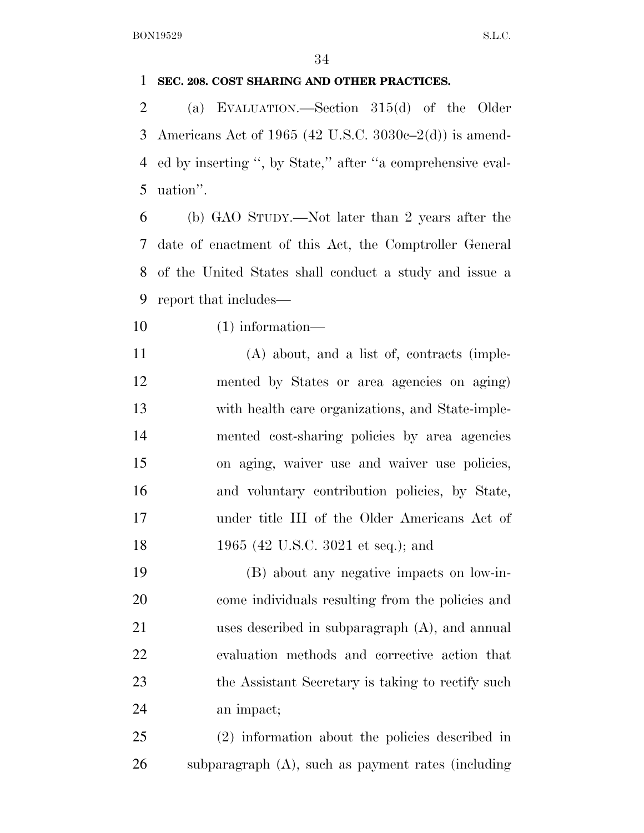### **SEC. 208. COST SHARING AND OTHER PRACTICES.**

 (a) EVALUATION.—Section 315(d) of the Older Americans Act of 1965 (42 U.S.C. 3030c–2(d)) is amend- ed by inserting '', by State,'' after ''a comprehensive eval-uation''.

 (b) GAO STUDY.—Not later than 2 years after the date of enactment of this Act, the Comptroller General of the United States shall conduct a study and issue a report that includes—

- (1) information—
- (A) about, and a list of, contracts (imple- mented by States or area agencies on aging) with health care organizations, and State-imple- mented cost-sharing policies by area agencies on aging, waiver use and waiver use policies, and voluntary contribution policies, by State, under title III of the Older Americans Act of 18 1965 (42 U.S.C. 3021 et seq.); and

 (B) about any negative impacts on low-in- come individuals resulting from the policies and uses described in subparagraph (A), and annual evaluation methods and corrective action that 23 the Assistant Secretary is taking to rectify such an impact;

 (2) information about the policies described in subparagraph (A), such as payment rates (including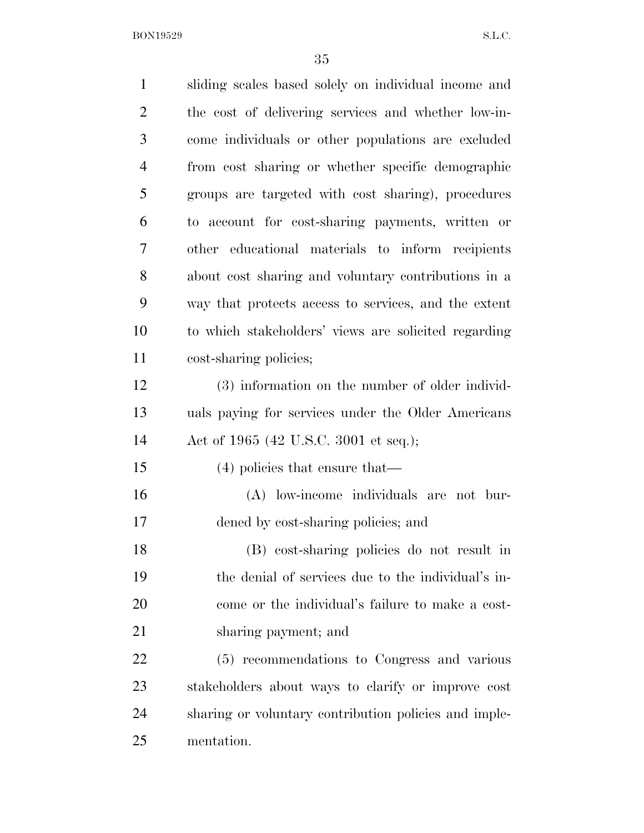| $\mathbf{1}$   | sliding scales based solely on individual income and  |
|----------------|-------------------------------------------------------|
| $\overline{2}$ | the cost of delivering services and whether low-in-   |
| 3              | come individuals or other populations are excluded    |
| $\overline{4}$ | from cost sharing or whether specific demographic     |
| 5              | groups are targeted with cost sharing), procedures    |
| 6              | to account for cost-sharing payments, written or      |
| 7              | other educational materials to inform recipients      |
| 8              | about cost sharing and voluntary contributions in a   |
| 9              | way that protects access to services, and the extent  |
| 10             | to which stakeholders' views are solicited regarding  |
| 11             | cost-sharing policies;                                |
| 12             | (3) information on the number of older individ-       |
| 13             | uals paying for services under the Older Americans    |
| 14             | Act of 1965 (42 U.S.C. 3001 et seq.);                 |
| 15             | $(4)$ policies that ensure that—                      |
| 16             | (A) low-income individuals are not bur-               |
| 17             | dened by cost-sharing policies; and                   |
| 18             | (B) cost-sharing policies do not result in            |
| 19             | the denial of services due to the individual's in-    |
| 20             | come or the individual's failure to make a cost-      |
| 21             | sharing payment; and                                  |
| 22             | (5) recommendations to Congress and various           |
| 23             | stakeholders about ways to clarify or improve cost    |
| 24             | sharing or voluntary contribution policies and imple- |
| 25             | mentation.                                            |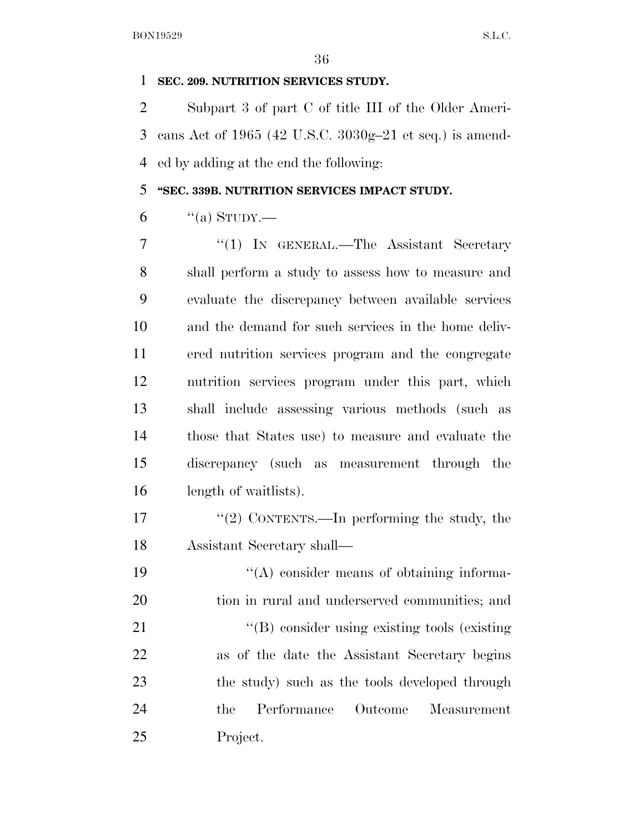### **SEC. 209. NUTRITION SERVICES STUDY.**

 Subpart 3 of part C of title III of the Older Ameri- cans Act of 1965 (42 U.S.C. 3030g–21 et seq.) is amend-ed by adding at the end the following:

### **''SEC. 339B. NUTRITION SERVICES IMPACT STUDY.**

"(a) STUDY.—

7 "(1) IN GENERAL.—The Assistant Secretary shall perform a study to assess how to measure and evaluate the discrepancy between available services and the demand for such services in the home deliv- ered nutrition services program and the congregate nutrition services program under this part, which shall include assessing various methods (such as those that States use) to measure and evaluate the discrepancy (such as measurement through the length of waitlists).

17 ''(2) CONTENTS.—In performing the study, the Assistant Secretary shall—

19  $\langle (A)$  consider means of obtaining informa- tion in rural and underserved communities; and 21 ''(B) consider using existing tools (existing as of the date the Assistant Secretary begins 23 the study) such as the tools developed through the Performance Outcome Measurement Project.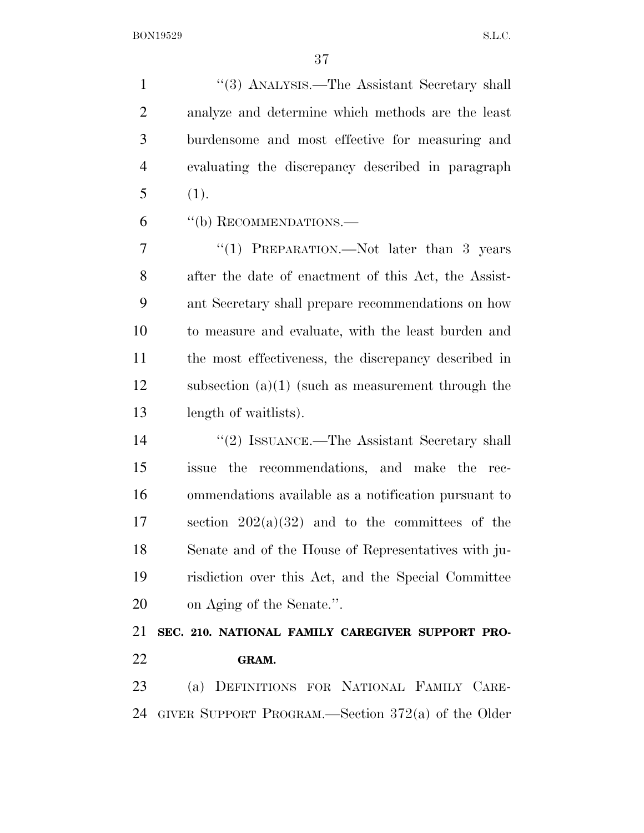''(3) ANALYSIS.—The Assistant Secretary shall analyze and determine which methods are the least burdensome and most effective for measuring and evaluating the discrepancy described in paragraph (1).

''(b) RECOMMENDATIONS.—

7 "(1) PREPARATION.—Not later than 3 years after the date of enactment of this Act, the Assist- ant Secretary shall prepare recommendations on how to measure and evaluate, with the least burden and the most effectiveness, the discrepancy described in subsection (a)(1) (such as measurement through the length of waitlists).

 ''(2) ISSUANCE.—The Assistant Secretary shall issue the recommendations, and make the rec- ommendations available as a notification pursuant to section 202(a)(32) and to the committees of the Senate and of the House of Representatives with ju- risdiction over this Act, and the Special Committee on Aging of the Senate.''.

 **SEC. 210. NATIONAL FAMILY CAREGIVER SUPPORT PRO-GRAM.** 

 (a) DEFINITIONS FOR NATIONAL FAMILY CARE-GIVER SUPPORT PROGRAM.—Section 372(a) of the Older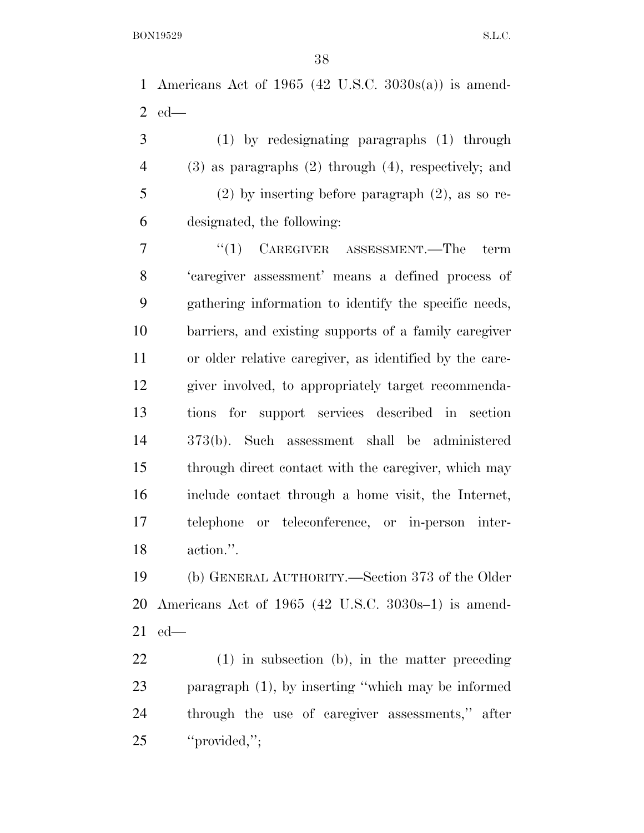Americans Act of 1965 (42 U.S.C. 3030s(a)) is amend-ed—

 (1) by redesignating paragraphs (1) through (3) as paragraphs (2) through (4), respectively; and (2) by inserting before paragraph (2), as so re-designated, the following:

7 "(1) CAREGIVER ASSESSMENT.—The term 'caregiver assessment' means a defined process of gathering information to identify the specific needs, barriers, and existing supports of a family caregiver or older relative caregiver, as identified by the care- giver involved, to appropriately target recommenda- tions for support services described in section 373(b). Such assessment shall be administered through direct contact with the caregiver, which may include contact through a home visit, the Internet, telephone or teleconference, or in-person inter-action.''.

 (b) GENERAL AUTHORITY.—Section 373 of the Older Americans Act of 1965 (42 U.S.C. 3030s–1) is amend-ed—

 (1) in subsection (b), in the matter preceding paragraph (1), by inserting ''which may be informed through the use of caregiver assessments,'' after ''provided,'';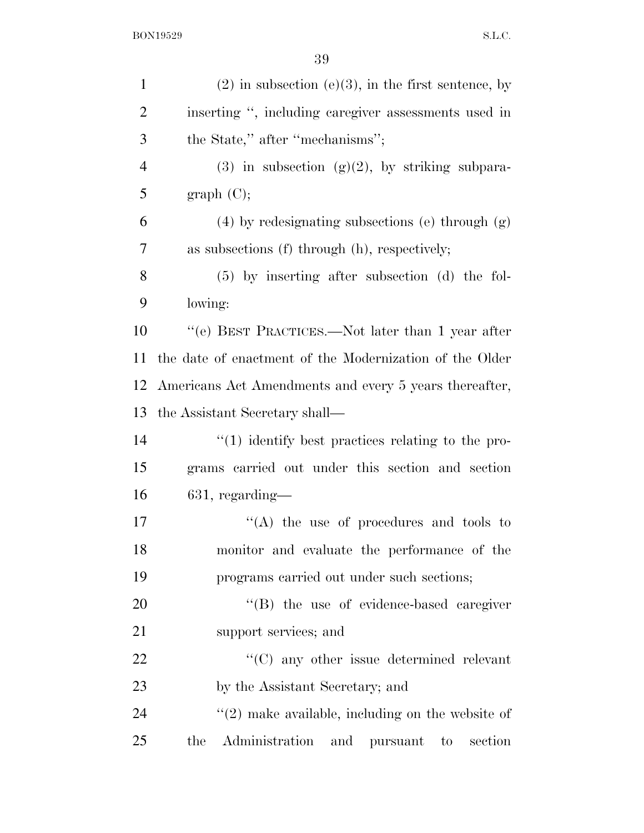| $\mathbf{1}$   | $(2)$ in subsection $(e)(3)$ , in the first sentence, by |
|----------------|----------------------------------------------------------|
| $\overline{2}$ | inserting ", including caregiver assessments used in     |
| 3              | the State," after "mechanisms";                          |
| $\overline{4}$ | (3) in subsection (g)(2), by striking subpara-           |
| 5              | graph(C);                                                |
| 6              | $(4)$ by redesignating subsections (e) through $(g)$     |
| 7              | as subsections (f) through (h), respectively;            |
| 8              | $(5)$ by inserting after subsection (d) the fol-         |
| 9              | lowing:                                                  |
| 10             | "(e) BEST PRACTICES.—Not later than 1 year after         |
| 11             | the date of enactment of the Modernization of the Older  |
| 12             | Americans Act Amendments and every 5 years thereafter,   |
| 13             | the Assistant Secretary shall—                           |
| 14             | $\cdot$ (1) identify best practices relating to the pro- |
| 15             | grams carried out under this section and section         |
| 16             | $631$ , regarding—                                       |
| 17             | $\lq\lq$ the use of procedures and tools to              |
| 18             | monitor and evaluate the performance of the              |
| 19             | programs carried out under such sections;                |
| 20             | "(B) the use of evidence-based caregiver                 |
| 21             | support services; and                                    |
| 22             | $\cdot$ (C) any other issue determined relevant          |
| 23             | by the Assistant Secretary; and                          |
| 24             | $\lq(2)$ make available, including on the website of     |
| 25             | Administration and pursuant to section<br>the            |
|                |                                                          |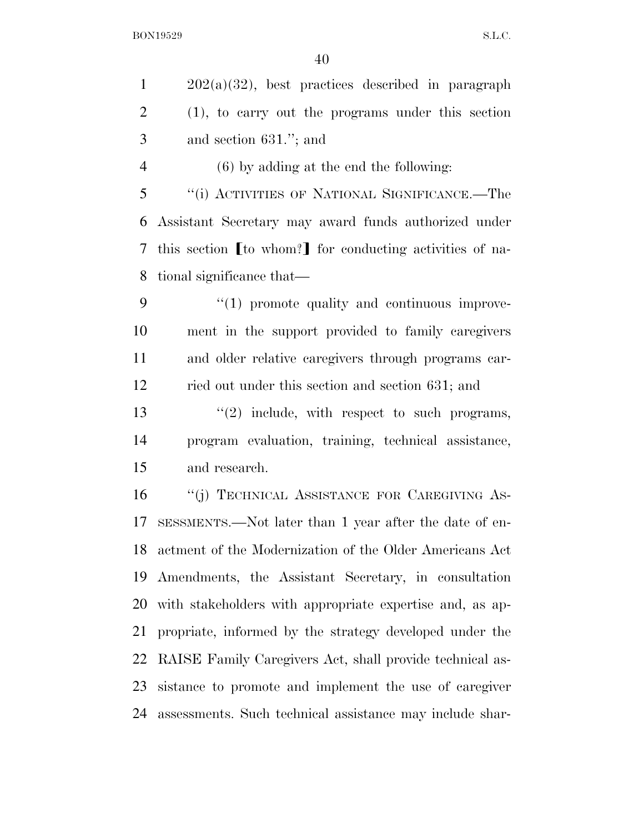202(a)(32), best practices described in paragraph (1), to carry out the programs under this section and section 631.''; and

(6) by adding at the end the following:

 ''(i) ACTIVITIES OF NATIONAL SIGNIFICANCE.—The Assistant Secretary may award funds authorized under 7 this section I to whom? For conducting activities of na-tional significance that—

 $9 \t``(1)$  promote quality and continuous improve- ment in the support provided to family caregivers and older relative caregivers through programs car-ried out under this section and section 631; and

13  $\frac{1}{2}$  include, with respect to such programs, program evaluation, training, technical assistance, and research.

16 "(j) TECHNICAL ASSISTANCE FOR CAREGIVING AS- SESSMENTS.—Not later than 1 year after the date of en- actment of the Modernization of the Older Americans Act Amendments, the Assistant Secretary, in consultation with stakeholders with appropriate expertise and, as ap- propriate, informed by the strategy developed under the RAISE Family Caregivers Act, shall provide technical as- sistance to promote and implement the use of caregiver assessments. Such technical assistance may include shar-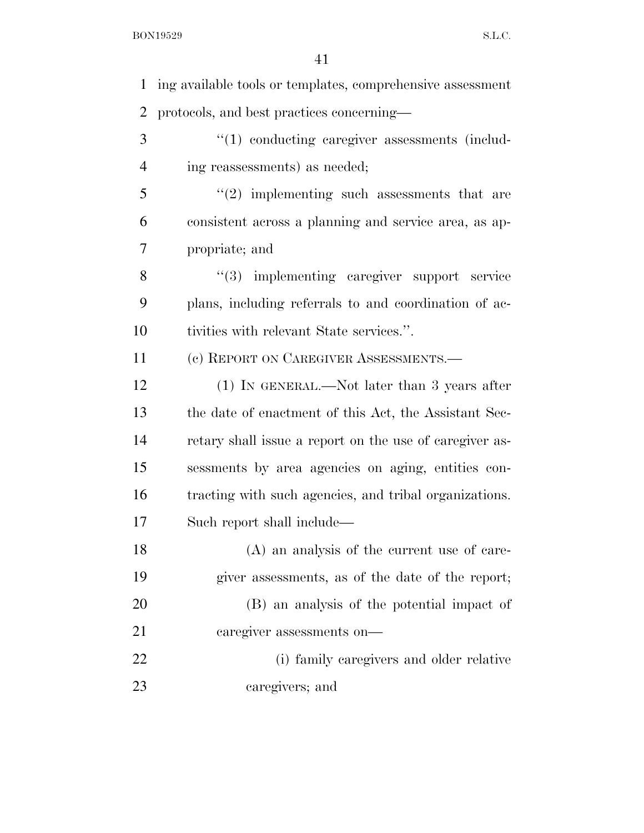ing available tools or templates, comprehensive assessment protocols, and best practices concerning— 3 (1) conducting caregiver assessments (includ- ing reassessments) as needed; ''(2) implementing such assessments that are consistent across a planning and service area, as ap- propriate; and 8 "(3) implementing caregiver support service plans, including referrals to and coordination of ac- tivities with relevant State services.''. (c) REPORT ON CAREGIVER ASSESSMENTS.— 12 (1) IN GENERAL.—Not later than 3 years after the date of enactment of this Act, the Assistant Sec- retary shall issue a report on the use of caregiver as- sessments by area agencies on aging, entities con- tracting with such agencies, and tribal organizations. Such report shall include— (A) an analysis of the current use of care- giver assessments, as of the date of the report; (B) an analysis of the potential impact of caregiver assessments on— (i) family caregivers and older relative caregivers; and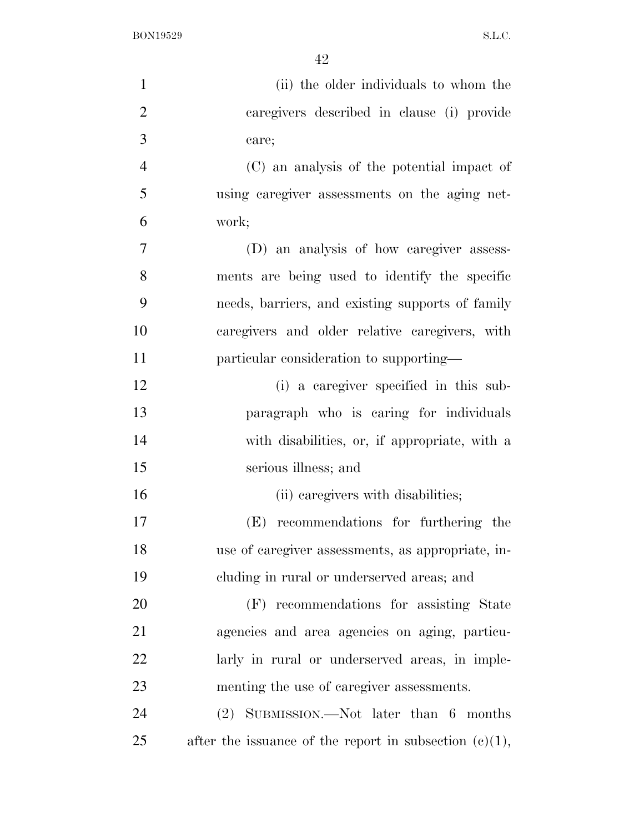| $\mathbf{1}$   | (ii) the older individuals to whom the                    |
|----------------|-----------------------------------------------------------|
| $\overline{2}$ | caregivers described in clause (i) provide                |
| 3              | care;                                                     |
| $\overline{4}$ | (C) an analysis of the potential impact of                |
| 5              | using caregiver assessments on the aging net-             |
| 6              | work;                                                     |
| $\tau$         | (D) an analysis of how caregiver assess-                  |
| 8              | ments are being used to identify the specific             |
| 9              | needs, barriers, and existing supports of family          |
| 10             | caregivers and older relative caregivers, with            |
| 11             | particular consideration to supporting—                   |
| 12             | (i) a caregiver specified in this sub-                    |
| 13             | paragraph who is caring for individuals                   |
| 14             | with disabilities, or, if appropriate, with a             |
| 15             | serious illness; and                                      |
| 16             | (ii) caregivers with disabilities;                        |
| 17             | recommendations for furthering the<br>(E)                 |
| 18             | use of caregiver assessments, as appropriate, in-         |
| 19             | cluding in rural or underserved areas; and                |
| 20             | (F) recommendations for assisting State                   |
| 21             | agencies and area agencies on aging, particu-             |
| 22             | larly in rural or underserved areas, in imple-            |
| 23             | menting the use of caregiver assessments.                 |
| 24             | $(2)$ SUBMISSION.—Not later than 6 months                 |
| 25             | after the issuance of the report in subsection $(c)(1)$ , |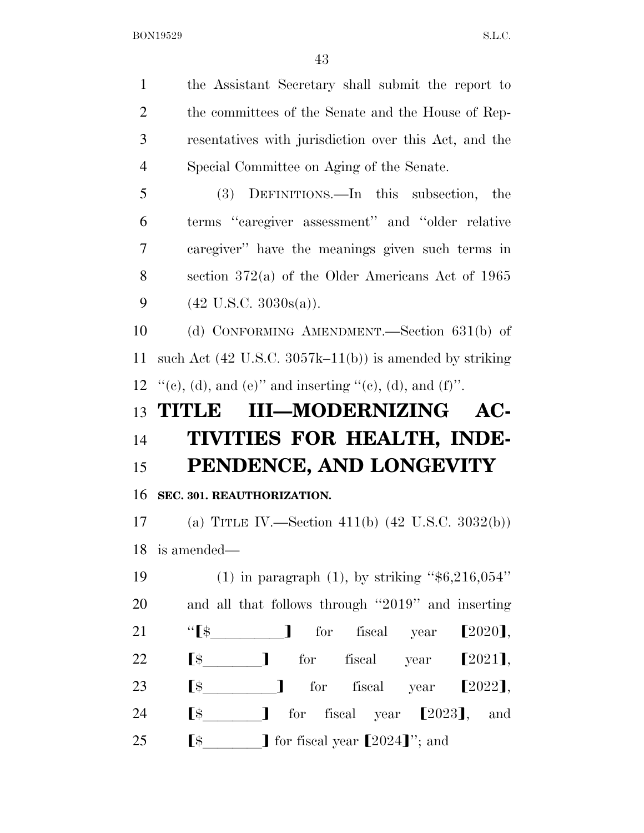the Assistant Secretary shall submit the report to 2 the committees of the Senate and the House of Rep- resentatives with jurisdiction over this Act, and the Special Committee on Aging of the Senate. (3) DEFINITIONS.—In this subsection, the terms ''caregiver assessment'' and ''older relative caregiver'' have the meanings given such terms in section 372(a) of the Older Americans Act of 1965  $(42 \text{ U.S.C. } 3030\text{s(a)})$ . (d) CONFORMING AMENDMENT.—Section 631(b) of such Act (42 U.S.C. 3057k–11(b)) is amended by striking  $\lq\lq$  (e), (d), and (e)" and inserting "(e), (d), and (f)". **TITLE III—MODERNIZING AC- TIVITIES FOR HEALTH, INDE- PENDENCE, AND LONGEVITY SEC. 301. REAUTHORIZATION.**  (a) TITLE IV.—Section 411(b) (42 U.S.C. 3032(b)) is amended— (1) in paragraph (1), by striking ''\$6,216,054'' and all that follows through ''2019'' and inserting 21 " $\left[\frac{1}{22}\right]$  for fiscal year  $\left[\frac{2020}{1}\right]$ ,<br>22  $\left[\frac{1}{2}\right]$  for fiscal year  $\left[\frac{2021}{1}\right]$ ,  $\left[\frac{1}{2021}\right]$  for fiscal year  $\left[\frac{2021}{1}\right]$ ,  $\lbrack \mathfrak{s} \rbrack$  for fiscal year  $\lbrack 2022 \rbrack$ ,  $\left[\frac{1}{2023}\right]$ , for fiscal year  $\left[\frac{2023}{1}\right]$ , and  $\left[ \text{\$} \right]$  for fiscal year  $\left[ 2024 \right]$ "; and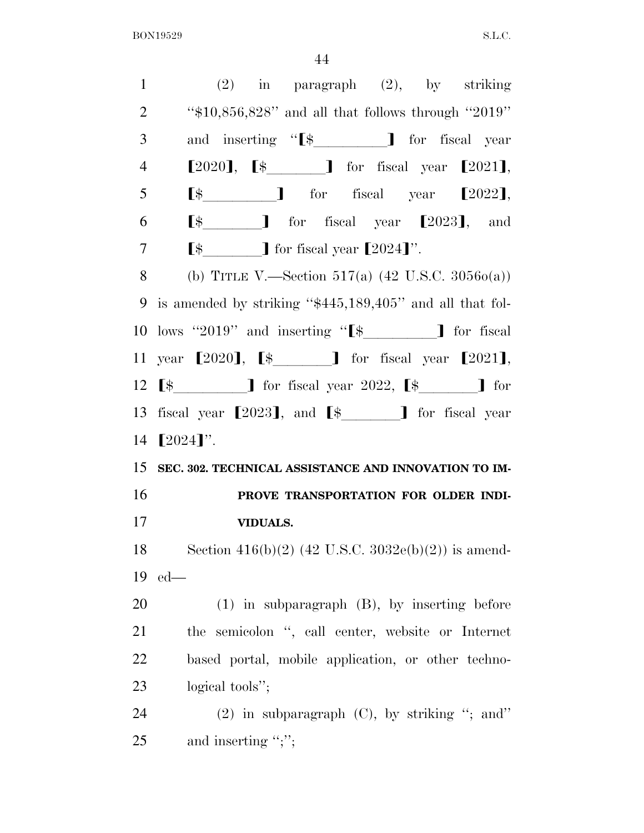(2) in paragraph (2), by striking ''\$10,856,828'' and all that follows through ''2019'' 3 and inserting "<sup>§</sup> if iscal year  $[2020]$ ,  $[s \t J$  for fiscal year  $[2021]$ ,  $\left[\color{red}\right.5\color{black}$   $\color{red}\left.\color{red}\right.5\color{black}$   $\color{red}\left.\color{red}\right]$  for fiscal year  $\left[\!\left.2022\right.\right]$ ,  $\left[\frac{1}{3}\right]$  for fiscal year  $\left[\frac{2023}{1}\right]$ , and  $\left[$   $\oint$   $\int$  for fiscal year  $\left[ 2024 \right]$ . 8 (b) TITLE V.—Section 517(a)  $(42 \text{ U.S.C. } 3056o(a))$  is amended by striking ''\$445,189,405'' and all that fol-10 lows "2019" and inserting " $\$\quad]$  for fiscal 11 year  $[2020]$ ,  $[$ \$  $]$  for fiscal year  $[2021]$ ,  $\lbrack \mathfrak{s} \rbrack$  for fiscal year 2022,  $\lbrack \mathfrak{s} \rbrack$  for 13 fiscal year  $[2023]$ , and  $\lbrack$   $\sharp$  for fiscal year 14  $[2024]'$ . **SEC. 302. TECHNICAL ASSISTANCE AND INNOVATION TO IM- PROVE TRANSPORTATION FOR OLDER INDI- VIDUALS.**  18 Section  $416(b)(2)$  (42 U.S.C.  $3032e(b)(2)$ ) is amend-19 ed— (1) in subparagraph (B), by inserting before the semicolon '', call center, website or Internet based portal, mobile application, or other techno- logical tools''; (2) in subparagraph (C), by striking ''; and'' 25 and inserting ";";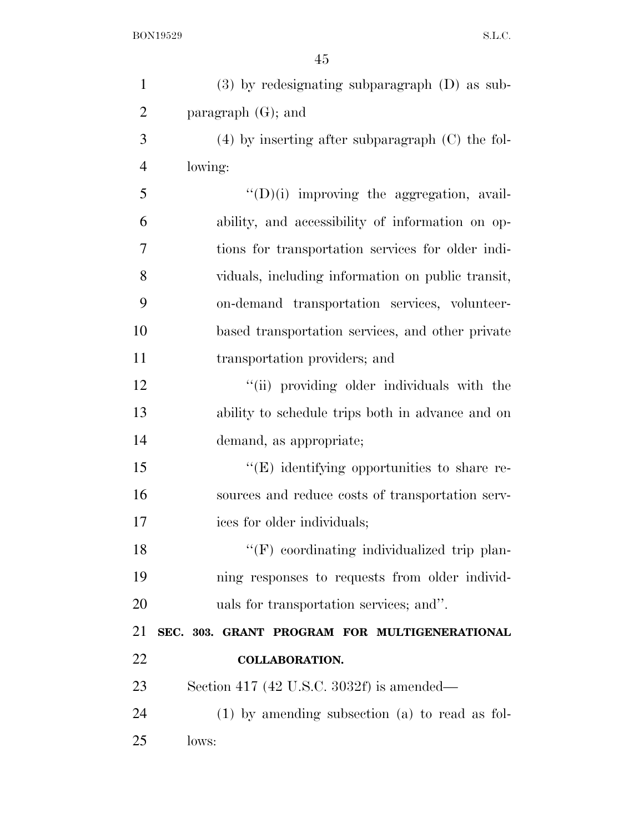| $\mathbf{1}$   | $(3)$ by redesignating subparagraph $(D)$ as sub-    |
|----------------|------------------------------------------------------|
| $\overline{2}$ | paragraph $(G)$ ; and                                |
| 3              | $(4)$ by inserting after subparagraph $(C)$ the fol- |
| $\overline{4}$ | lowing:                                              |
| 5              | $\lq\lq$ (D)(i) improving the aggregation, avail-    |
| 6              | ability, and accessibility of information on op-     |
| 7              | tions for transportation services for older indi-    |
| 8              | viduals, including information on public transit,    |
| 9              | on-demand transportation services, volunteer-        |
| 10             | based transportation services, and other private     |
| 11             | transportation providers; and                        |
| 12             | "(ii) providing older individuals with the           |
| 13             | ability to schedule trips both in advance and on     |
| 14             | demand, as appropriate;                              |
| 15             | $\lq\lq(E)$ identifying opportunities to share re-   |
| 16             | sources and reduce costs of transportation serv-     |
| 17             | ices for older individuals;                          |
| 18             | "(F) coordinating individualized trip plan-          |
| 19             | ning responses to requests from older individ-       |
| 20             | uals for transportation services; and".              |
| 21             | SEC. 303. GRANT PROGRAM FOR MULTIGENERATIONAL        |
| 22             | <b>COLLABORATION.</b>                                |
| 23             | Section 417 (42 U.S.C. 3032f) is amended—            |
| 24             | $(1)$ by amending subsection $(a)$ to read as fol-   |
| 25             | lows:                                                |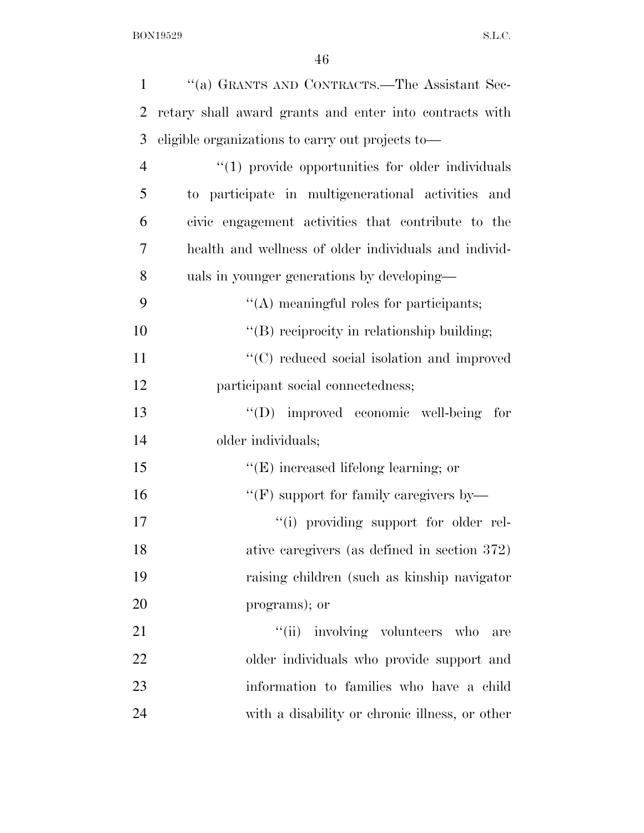| $\mathbf{1}$   | "(a) GRANTS AND CONTRACTS.—The Assistant Sec-           |
|----------------|---------------------------------------------------------|
| $\overline{2}$ | retary shall award grants and enter into contracts with |
| 3              | eligible organizations to carry out projects to-        |
| $\overline{4}$ | $\lq(1)$ provide opportunities for older individuals    |
| 5              | to participate in multigenerational activities and      |
| 6              | civic engagement activities that contribute to the      |
| 7              | health and wellness of older individuals and individ-   |
| 8              | uals in younger generations by developing—              |
| 9              | $\lq\lq$ meaningful roles for participants;             |
| 10             | "(B) reciprocity in relationship building;              |
| 11             | "(C) reduced social isolation and improved              |
| 12             | participant social connectedness;                       |
| 13             | "(D) improved economic well-being<br>for                |
| 14             | older individuals;                                      |
| 15             | $\lq\lq(E)$ increased lifelong learning; or             |
| 16             | "(F) support for family caregivers by—                  |
| 17             | "(i) providing support for older rel-                   |
| 18             | ative caregivers (as defined in section 372)            |
| 19             | raising children (such as kinship navigator)            |
| 20             | programs); or                                           |
| 21             | "(ii) involving volunteers who<br>are                   |
| 22             | older individuals who provide support and               |
| 23             | information to families who have a child                |
| 24             | with a disability or chronic illness, or other          |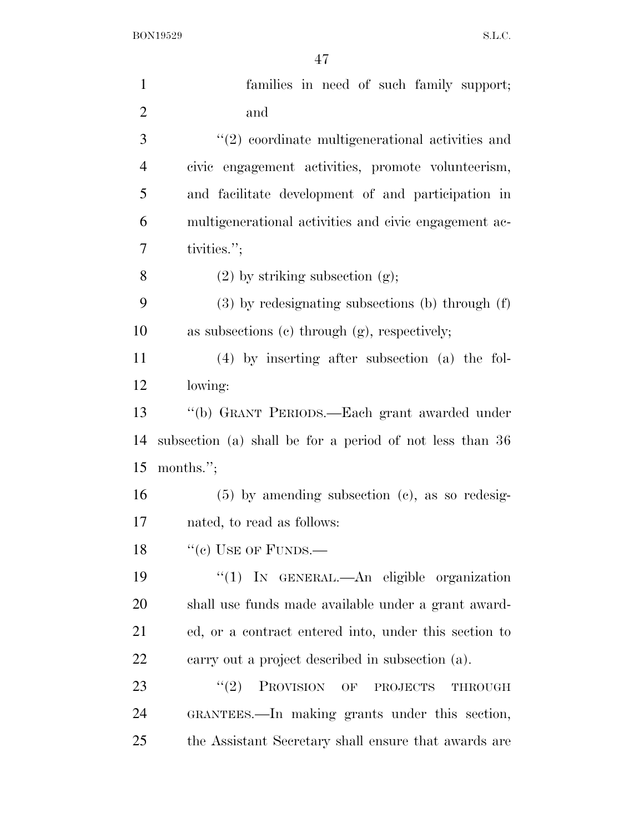| $\mathbf{1}$   | families in need of such family support;                    |
|----------------|-------------------------------------------------------------|
| $\overline{2}$ | and                                                         |
| 3              | $\lq(2)$ coordinate multigenerational activities and        |
| $\overline{4}$ | civic engagement activities, promote volunteerism,          |
| 5              | and facilitate development of and participation in          |
| 6              | multigenerational activities and civic engagement ac-       |
| $\overline{7}$ | tivities.";                                                 |
| 8              | $(2)$ by striking subsection $(g)$ ;                        |
| 9              | $(3)$ by redesignating subsections (b) through $(f)$        |
| 10             | as subsections $(c)$ through $(g)$ , respectively;          |
| 11             | $(4)$ by inserting after subsection (a) the fol-            |
| 12             | lowing:                                                     |
| 13             | "(b) GRANT PERIODS.—Each grant awarded under                |
| 14             | subsection (a) shall be for a period of not less than 36    |
| 15             | months.";                                                   |
| 16             | $(5)$ by amending subsection $(e)$ , as so redesig-         |
| 17             | nated, to read as follows:                                  |
| 18             | $``(c)$ USE OF FUNDS.—                                      |
| 19             | "(1) IN GENERAL.—An eligible organization                   |
| 20             | shall use funds made available under a grant award-         |
| 21             | ed, or a contract entered into, under this section to       |
| 22             | carry out a project described in subsection (a).            |
| 23             | (2)<br><b>PROVISION</b><br>OF<br><b>PROJECTS</b><br>THROUGH |
| 24             | GRANTEES.—In making grants under this section,              |
| 25             | the Assistant Secretary shall ensure that awards are        |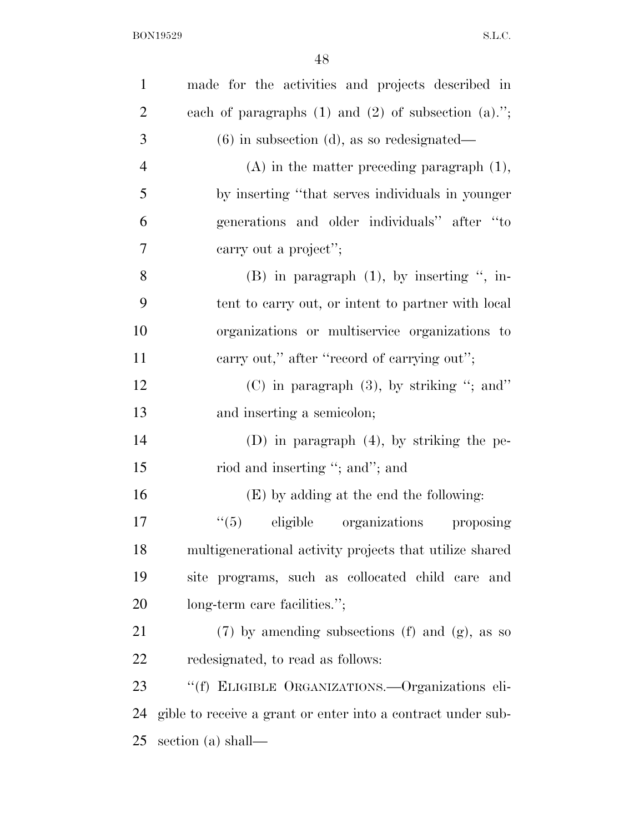| $\mathbf{1}$   | made for the activities and projects described in            |
|----------------|--------------------------------------------------------------|
| $\overline{2}$ | each of paragraphs $(1)$ and $(2)$ of subsection $(a)$ .";   |
| 3              | $(6)$ in subsection $(d)$ , as so redesignated—              |
| $\overline{4}$ | $(A)$ in the matter preceding paragraph $(1)$ ,              |
| 5              | by inserting "that serves individuals in younger             |
| 6              | generations and older individuals" after "to                 |
| 7              | carry out a project";                                        |
| 8              | $(B)$ in paragraph $(1)$ , by inserting ", in-               |
| 9              | tent to carry out, or intent to partner with local           |
| 10             | organizations or multiservice organizations to               |
| 11             | carry out," after "record of carrying out";                  |
| 12             | $(C)$ in paragraph $(3)$ , by striking "; and"               |
| 13             | and inserting a semicolon;                                   |
| 14             | $(D)$ in paragraph $(4)$ , by striking the pe-               |
| 15             | riod and inserting "; and"; and                              |
| 16             | (E) by adding at the end the following:                      |
| 17             | ``(5)<br>eligible organizations<br>proposing                 |
| 18             | multigenerational activity projects that utilize shared      |
| 19             | site programs, such as collocated child care<br>and          |
| 20             | long-term care facilities.";                                 |
| 21             | $(7)$ by amending subsections $(f)$ and $(g)$ , as so        |
| 22             | redesignated, to read as follows:                            |
| 23             | "(f) ELIGIBLE ORGANIZATIONS.—Organizations eli-              |
| 24             | gible to receive a grant or enter into a contract under sub- |
| 25             | section (a) shall—                                           |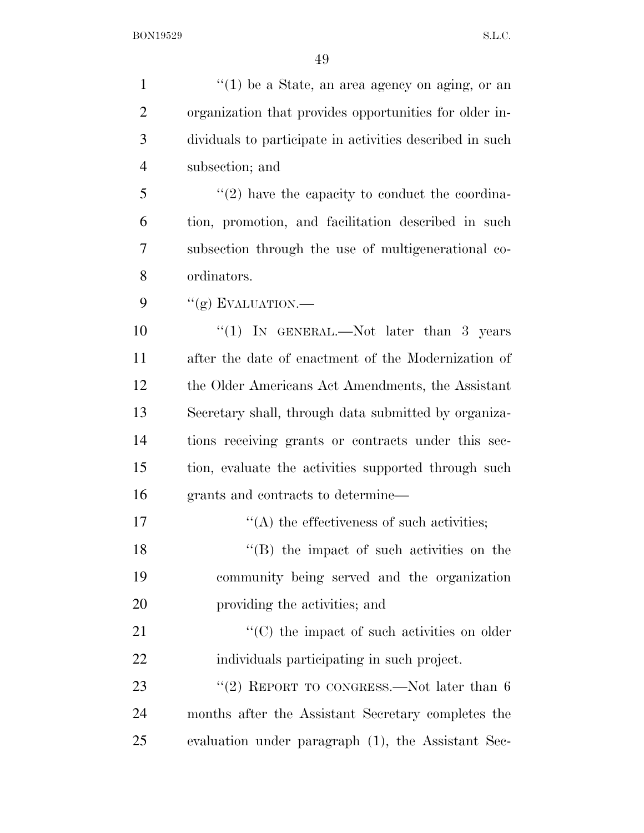| $\mathbf{1}$   | $\lq(1)$ be a State, an area agency on aging, or an      |
|----------------|----------------------------------------------------------|
| $\overline{2}$ | organization that provides opportunities for older in-   |
| 3              | dividuals to participate in activities described in such |
| 4              | subsection; and                                          |
| 5              | $\lq(2)$ have the capacity to conduct the coordina-      |
| 6              | tion, promotion, and facilitation described in such      |
| 7              | subsection through the use of multigenerational co-      |
| 8              | ordinators.                                              |
| 9              | "(g) EVALUATION.—                                        |
| 10             | "(1) IN GENERAL.—Not later than 3 years                  |
| 11             | after the date of enactment of the Modernization of      |
| 12             | the Older Americans Act Amendments, the Assistant        |
| 13             | Secretary shall, through data submitted by organiza-     |
| 14             | tions receiving grants or contracts under this sec-      |
| 15             | tion, evaluate the activities supported through such     |
| 16             | grants and contracts to determine—                       |
| 17             | "(A) the effectiveness of such activities;               |
| 18             | $\lq\lq$ (B) the impact of such activities on the        |
| 19             | community being served and the organization              |
| 20             | providing the activities; and                            |
| 21             | $\lq\lq$ (C) the impact of such activities on older      |
| 22             | individuals participating in such project.               |
| 23             | "(2) REPORT TO CONGRESS.—Not later than $6$              |
| 24             | months after the Assistant Secretary completes the       |
| 25             | evaluation under paragraph (1), the Assistant Sec-       |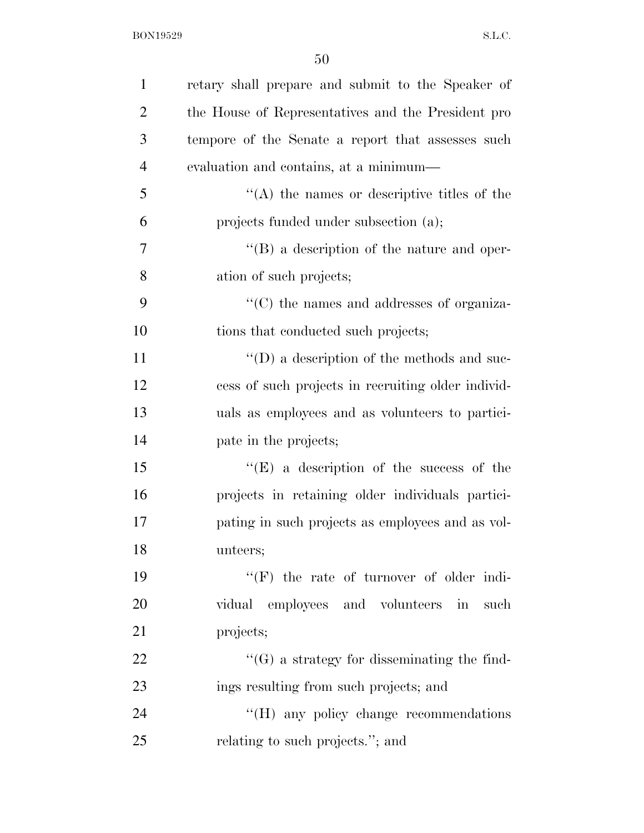| $\mathbf{1}$   | retary shall prepare and submit to the Speaker of  |
|----------------|----------------------------------------------------|
| $\overline{2}$ | the House of Representatives and the President pro |
| 3              | tempore of the Senate a report that assesses such  |
| $\overline{4}$ | evaluation and contains, at a minimum—             |
| 5              | $\lq\lq$ the names or descriptive titles of the    |
| 6              | projects funded under subsection (a);              |
| 7              | "(B) a description of the nature and oper-         |
| 8              | ation of such projects;                            |
| 9              | $\cdot$ (C) the names and addresses of organiza-   |
| 10             | tions that conducted such projects;                |
| 11             | $\lq\lq$ (D) a description of the methods and suc- |
| 12             | cess of such projects in recruiting older individ- |
| 13             | uals as employees and as volunteers to partici-    |
| 14             | pate in the projects;                              |
| 15             | "(E) a description of the success of the           |
| 16             | projects in retaining older individuals partici-   |
| 17             | pating in such projects as employees and as vol-   |
| 18             | unteers;                                           |
| 19             | "(F) the rate of turnover of older indi-           |
| 20             | vidual employees and volunteers in such            |
| 21             | projects;                                          |
| 22             | $\lq\lq(G)$ a strategy for disseminating the find- |
| 23             | ings resulting from such projects; and             |
| 24             | "(H) any policy change recommendations             |
| 25             | relating to such projects."; and                   |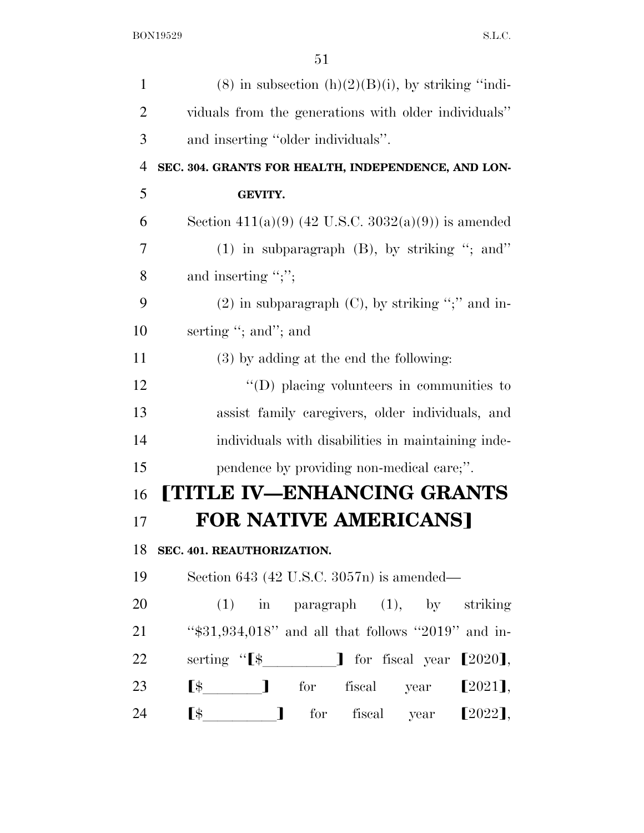| $\mathbf{1}$   | $(8)$ in subsection $(h)(2)(B)(i)$ , by striking "indi-                                                                                                                                                                                                                                                                                                                                                  |
|----------------|----------------------------------------------------------------------------------------------------------------------------------------------------------------------------------------------------------------------------------------------------------------------------------------------------------------------------------------------------------------------------------------------------------|
| $\overline{2}$ | viduals from the generations with older individuals"                                                                                                                                                                                                                                                                                                                                                     |
| 3              | and inserting "older individuals".                                                                                                                                                                                                                                                                                                                                                                       |
| $\overline{4}$ | SEC. 304. GRANTS FOR HEALTH, INDEPENDENCE, AND LON-                                                                                                                                                                                                                                                                                                                                                      |
| 5              | <b>GEVITY.</b>                                                                                                                                                                                                                                                                                                                                                                                           |
| 6              | Section 411(a)(9) (42 U.S.C. 3032(a)(9)) is amended                                                                                                                                                                                                                                                                                                                                                      |
| 7              | $(1)$ in subparagraph $(B)$ , by striking "; and"                                                                                                                                                                                                                                                                                                                                                        |
| 8              | and inserting " $;$ ";"                                                                                                                                                                                                                                                                                                                                                                                  |
| 9              | $(2)$ in subparagraph $(C)$ , by striking ";" and in-                                                                                                                                                                                                                                                                                                                                                    |
| 10             | serting "; and"; and                                                                                                                                                                                                                                                                                                                                                                                     |
| 11             | $(3)$ by adding at the end the following:                                                                                                                                                                                                                                                                                                                                                                |
| 12             | $\lq\lq$ (D) placing volunteers in communities to                                                                                                                                                                                                                                                                                                                                                        |
| 13             | assist family caregivers, older individuals, and                                                                                                                                                                                                                                                                                                                                                         |
| 14             | individuals with disabilities in maintaining inde-                                                                                                                                                                                                                                                                                                                                                       |
| 15             | pendence by providing non-medical care;".                                                                                                                                                                                                                                                                                                                                                                |
| 16             | [TITLE IV-ENHANCING GRANTS                                                                                                                                                                                                                                                                                                                                                                               |
| 17             | <b>FOR NATIVE AMERICANS]</b>                                                                                                                                                                                                                                                                                                                                                                             |
| 18             | SEC. 401. REAUTHORIZATION.                                                                                                                                                                                                                                                                                                                                                                               |
| 19             | Section 643 (42 U.S.C. 3057n) is amended—                                                                                                                                                                                                                                                                                                                                                                |
| 20             | $(1)$ in paragraph $(1)$ , by striking                                                                                                                                                                                                                                                                                                                                                                   |
| 21             | " $$31,934,018"$ and all that follows "2019" and in-                                                                                                                                                                                                                                                                                                                                                     |
| 22             | serting "[\$_________] for fiscal year [2020],                                                                                                                                                                                                                                                                                                                                                           |
| 23             | $\begin{bmatrix} \frac{1}{2} & \frac{1}{2} & \frac{1}{2} & \frac{1}{2} & \frac{1}{2} & \frac{1}{2} & \frac{1}{2} & \frac{1}{2} & \frac{1}{2} & \frac{1}{2} & \frac{1}{2} & \frac{1}{2} & \frac{1}{2} & \frac{1}{2} & \frac{1}{2} & \frac{1}{2} & \frac{1}{2} & \frac{1}{2} & \frac{1}{2} & \frac{1}{2} & \frac{1}{2} & \frac{1}{2} & \frac{1}{2} & \frac{1}{2} & \frac{1}{2} & \frac{1}{2} & \frac{1}{2$ |
| 24             | $\begin{bmatrix} \frac{1}{2} & \frac{1}{2} & \frac{1}{2} & \frac{1}{2} & \frac{1}{2} & \frac{1}{2} & \frac{1}{2} & \frac{1}{2} & \frac{1}{2} & \frac{1}{2} & \frac{1}{2} & \frac{1}{2} & \frac{1}{2} & \frac{1}{2} & \frac{1}{2} & \frac{1}{2} & \frac{1}{2} & \frac{1}{2} & \frac{1}{2} & \frac{1}{2} & \frac{1}{2} & \frac{1}{2} & \frac{1}{2} & \frac{1}{2} & \frac{1}{2} & \frac{1}{2} & \frac{1}{2$ |
|                |                                                                                                                                                                                                                                                                                                                                                                                                          |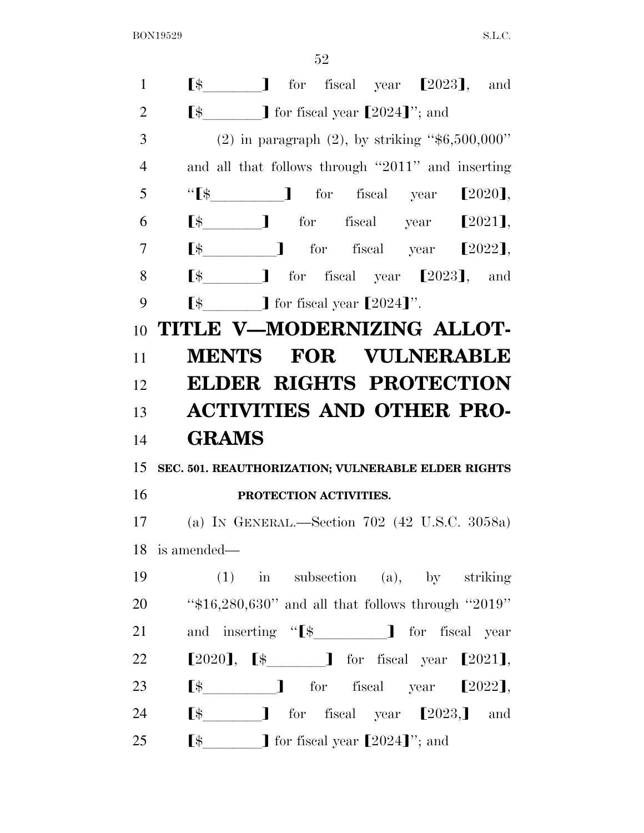| $\mathbf{1}$   | $\lbrack$ $\uparrow$ $\uparrow$ for fiscal year $\lbrack 2023 \rbrack$ , and                                                                                                                                                                                                                                                                                                                                    |
|----------------|-----------------------------------------------------------------------------------------------------------------------------------------------------------------------------------------------------------------------------------------------------------------------------------------------------------------------------------------------------------------------------------------------------------------|
| $\overline{2}$ | $\lbrack$ $\uparrow$ $\uparrow$ $\uparrow$ for fiscal year $\lbrack 2024 \rbrack$ "; and                                                                                                                                                                                                                                                                                                                        |
| 3              | (2) in paragraph (2), by striking " $$6,500,000"$ "                                                                                                                                                                                                                                                                                                                                                             |
| $\overline{4}$ | and all that follows through "2011" and inserting                                                                                                                                                                                                                                                                                                                                                               |
| 5              |                                                                                                                                                                                                                                                                                                                                                                                                                 |
| 6              | $\lbrack$ $\uparrow$ $\uparrow$ for fiscal year $\lbrack 2021 \rbrack$ ,                                                                                                                                                                                                                                                                                                                                        |
| 7              | $\lbrack$ $\uparrow$ $\qquad$ $\qquad$ $\qquad$ $\qquad$ $\qquad$ $\qquad$ $\qquad$ $\qquad$ $\qquad$ $\qquad$ $\qquad$ $\qquad$ $\qquad$ $\qquad$ $\qquad$ $\qquad$ $\qquad$ $\qquad$ $\qquad$ $\qquad$ $\qquad$ $\qquad$ $\qquad$ $\qquad$ $\qquad$ $\qquad$ $\qquad$ $\qquad$ $\qquad$ $\qquad$ $\qquad$ $\qquad$ $\qquad$ $\qquad$ $\qquad$                                                                 |
| 8              | $\lbrack$ $\uparrow$ $\qquad$ $\qquad$ for fiscal year $\lbrack 2023 \rbrack$ , and                                                                                                                                                                                                                                                                                                                             |
| 9              | $\lbrack$ \$ $\qquad$ ] for fiscal year $\lbrack 2024 \rbrack$ ".                                                                                                                                                                                                                                                                                                                                               |
| 10             | TITLE V-MODERNIZING ALLOT-                                                                                                                                                                                                                                                                                                                                                                                      |
| 11             | <b>MENTS FOR VULNERABLE</b>                                                                                                                                                                                                                                                                                                                                                                                     |
| 12             | <b>ELDER RIGHTS PROTECTION</b>                                                                                                                                                                                                                                                                                                                                                                                  |
| 13             | <b>ACTIVITIES AND OTHER PRO-</b>                                                                                                                                                                                                                                                                                                                                                                                |
| 14             | <b>GRAMS</b>                                                                                                                                                                                                                                                                                                                                                                                                    |
| 15             | SEC. 501. REAUTHORIZATION; VULNERABLE ELDER RIGHTS                                                                                                                                                                                                                                                                                                                                                              |
| 16             | PROTECTION ACTIVITIES.                                                                                                                                                                                                                                                                                                                                                                                          |
| 17             | (a) IN GENERAL.—Section 702 (42 U.S.C. 3058a)                                                                                                                                                                                                                                                                                                                                                                   |
|                | 18 is amended—                                                                                                                                                                                                                                                                                                                                                                                                  |
| 19             | $(1)$ in subsection (a), by striking                                                                                                                                                                                                                                                                                                                                                                            |
| 20             | " $$16,280,630"$ and all that follows through "2019"                                                                                                                                                                                                                                                                                                                                                            |
| 21             | and inserting "[\$___________] for fiscal year                                                                                                                                                                                                                                                                                                                                                                  |
| <u>22</u>      | $[2020]$ , $[\frac{1}{2021}]$ for fiscal year $[2021]$ ,                                                                                                                                                                                                                                                                                                                                                        |
| 23             | $\lbrack$ $\uparrow$ $\uparrow$ $\uparrow$ for fiscal year $\lbrack 2022 \rbrack$ ,                                                                                                                                                                                                                                                                                                                             |
| 24             | $\begin{bmatrix} \frac{1}{2} & \frac{1}{2} & \frac{1}{2} & \frac{1}{2} & \frac{1}{2} & \frac{1}{2} & \frac{1}{2} & \frac{1}{2} & \frac{1}{2} & \frac{1}{2} & \frac{1}{2} & \frac{1}{2} & \frac{1}{2} & \frac{1}{2} & \frac{1}{2} & \frac{1}{2} & \frac{1}{2} & \frac{1}{2} & \frac{1}{2} & \frac{1}{2} & \frac{1}{2} & \frac{1}{2} & \frac{1}{2} & \frac{1}{2} & \frac{1}{2} & \frac{1}{2} & \frac{1}{2$<br>and |
| 25             | $\lbrack$ $\uparrow$ $\qquad$ $\qquad$ $\qquad$ for fiscal year $\lbrack 2024 \rbrack$ $\qquad$ and                                                                                                                                                                                                                                                                                                             |
|                |                                                                                                                                                                                                                                                                                                                                                                                                                 |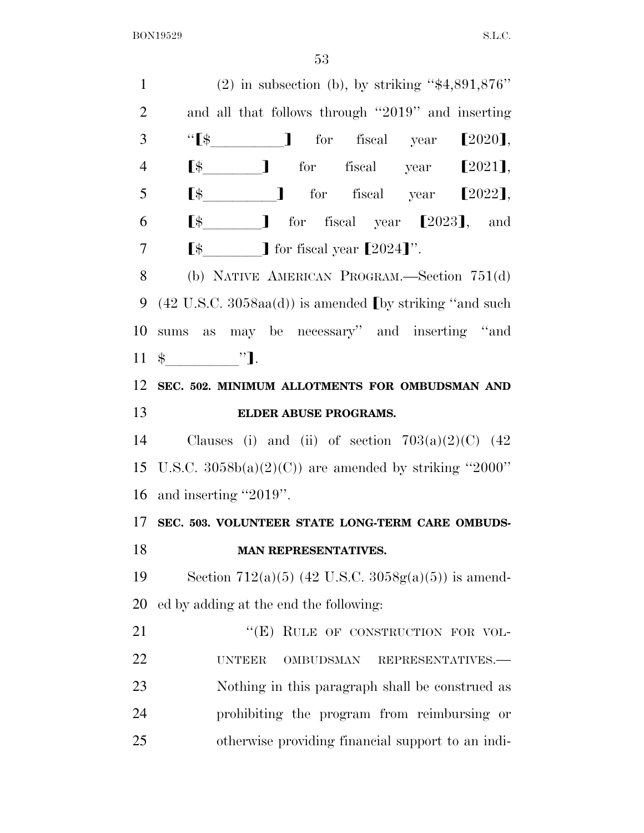1 (2) in subsection (b), by striking " $$4,891,876"$  and all that follows through ''2019'' and inserting 3 '' $\left[\frac{1}{2020}\right]$  for fiscal year  $\left[\frac{2020}{1}\right]$ ,  $\lbrack \quad \rbrack$  for fiscal year  $\lbrack 2021 \rbrack$ ,  $\left[\frac{1}{3}\right]$  for fiscal year  $\left[\frac{2022}{1}\right]$ ,  $\left[ \begin{array}{ccc} \text{\$} & \text{\$} & \text{\$} \end{array} \right]$  for fiscal year  $\left[ 2023 \right]$ , and  $\left[$   $\oint$   $\int$  for fiscal year  $\left[ 2024 \right]$ . (b) NATIVE AMERICAN PROGRAM.—Section 751(d) 9 (42 U.S.C. 3058aa(d)) is amended (by striking "and such sums as may be necessary'' and inserting ''and \$lllll''¿. **SEC. 502. MINIMUM ALLOTMENTS FOR OMBUDSMAN AND ELDER ABUSE PROGRAMS.**  14 Clauses (i) and (ii) of section  $703(a)(2)(C)$  (42 15 U.S.C.  $3058b(a)(2)(C)$  are amended by striking "2000" and inserting ''2019''. **SEC. 503. VOLUNTEER STATE LONG-TERM CARE OMBUDS- MAN REPRESENTATIVES.**  19 Section 712(a)(5) (42 U.S.C.  $3058g(a)(5)$ ) is amend- ed by adding at the end the following: 21 "(E) RULE OF CONSTRUCTION FOR VOL- UNTEER OMBUDSMAN REPRESENTATIVES.— Nothing in this paragraph shall be construed as prohibiting the program from reimbursing or otherwise providing financial support to an indi-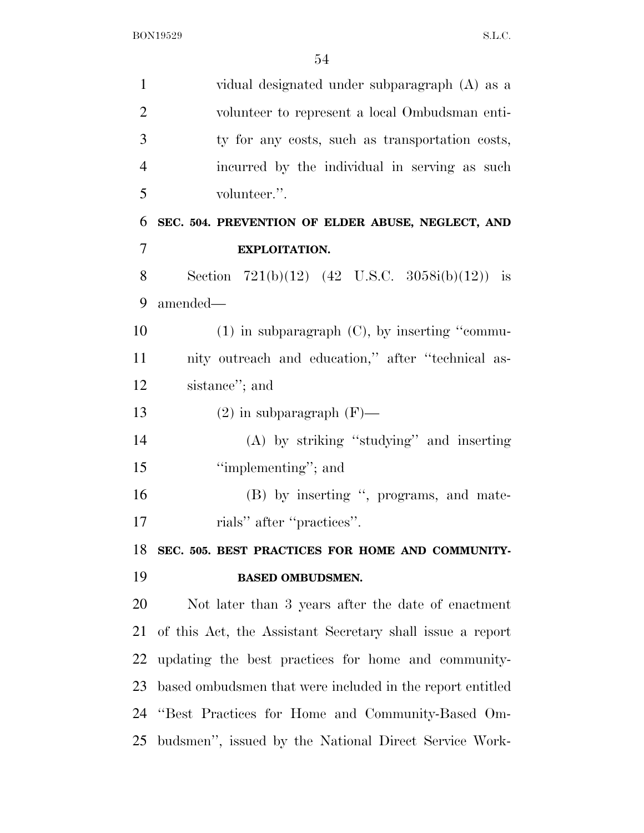| $\mathbf{1}$   | vidual designated under subparagraph (A) as a             |
|----------------|-----------------------------------------------------------|
| $\overline{2}$ | volunteer to represent a local Ombudsman enti-            |
| 3              | ty for any costs, such as transportation costs,           |
| $\overline{4}$ | incurred by the individual in serving as such             |
| 5              | volunteer.".                                              |
| 6              | SEC. 504. PREVENTION OF ELDER ABUSE, NEGLECT, AND         |
| 7              | EXPLOITATION.                                             |
| 8              | Section 721(b)(12) (42 U.S.C. 3058i(b)(12)) is            |
| 9              | amended—                                                  |
| 10             | $(1)$ in subparagraph $(C)$ , by inserting "commu-        |
| 11             | nity outreach and education," after "technical as-        |
| 12             | sistance"; and                                            |
| 13             | $(2)$ in subparagraph $(F)$ —                             |
| 14             | (A) by striking "studying" and inserting                  |
| 15             | "implementing"; and                                       |
| 16             | (B) by inserting ", programs, and mate-                   |
| 17             | rials" after "practices".                                 |
| 18             | SEC. 505. BEST PRACTICES FOR HOME AND COMMUNITY-          |
| 19             | <b>BASED OMBUDSMEN.</b>                                   |
| <b>20</b>      | Not later than 3 years after the date of enactment        |
| 21             | of this Act, the Assistant Secretary shall issue a report |
| <u>22</u>      | updating the best practices for home and community-       |
| 23             | based ombudsmen that were included in the report entitled |
| 24             | "Best Practices for Home and Community-Based Om-          |
| 25             | budsmen", issued by the National Direct Service Work-     |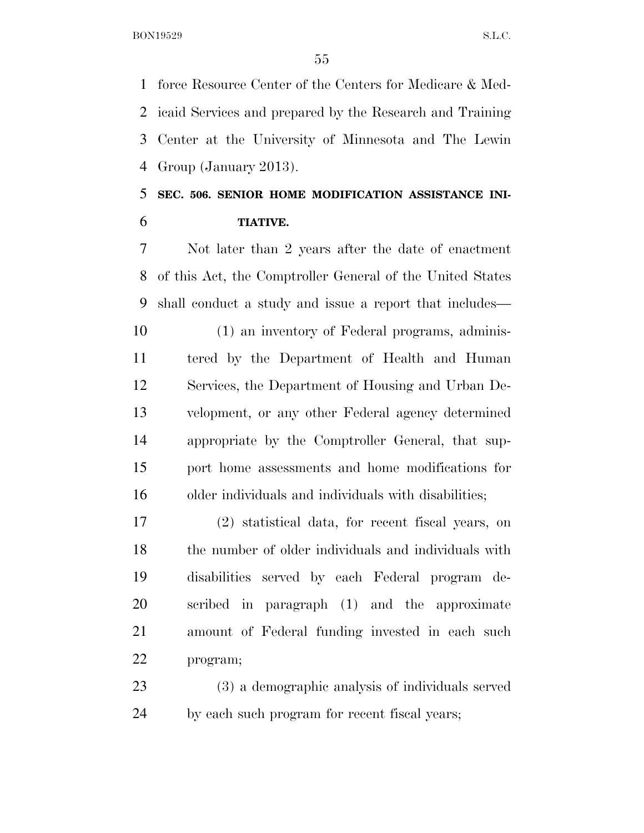force Resource Center of the Centers for Medicare & Med- icaid Services and prepared by the Research and Training Center at the University of Minnesota and The Lewin Group (January 2013).

# **SEC. 506. SENIOR HOME MODIFICATION ASSISTANCE INI-TIATIVE.**

 Not later than 2 years after the date of enactment of this Act, the Comptroller General of the United States shall conduct a study and issue a report that includes—

 (1) an inventory of Federal programs, adminis- tered by the Department of Health and Human Services, the Department of Housing and Urban De- velopment, or any other Federal agency determined appropriate by the Comptroller General, that sup- port home assessments and home modifications for older individuals and individuals with disabilities;

 (2) statistical data, for recent fiscal years, on the number of older individuals and individuals with disabilities served by each Federal program de- scribed in paragraph (1) and the approximate amount of Federal funding invested in each such program;

 (3) a demographic analysis of individuals served by each such program for recent fiscal years;